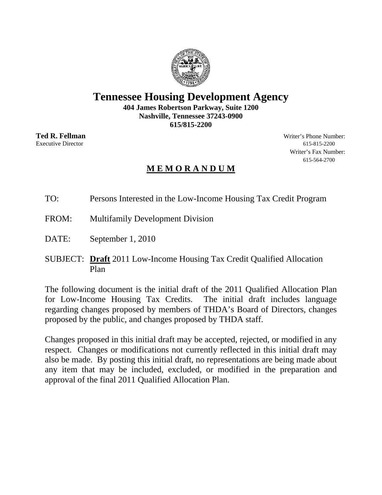## **Tennessee Housing Development Agency**

**404 James Robertson Parkway, Suite 1200 Nashville, Tennessee 37243-0900 615/815-2200** 

**Ted R. Fellman** Writer's Phone Number: Executive Director 615-815-2200 Writer's Fax Number: 615-564-2700

### **M E M O R A N D U M**

TO: Persons Interested in the Low-Income Housing Tax Credit Program

- FROM: Multifamily Development Division
- DATE: September 1, 2010
- SUBJECT: **Draft** 2011 Low-Income Housing Tax Credit Qualified Allocation Plan

The following document is the initial draft of the 2011 Qualified Allocation Plan for Low-Income Housing Tax Credits. The initial draft includes language regarding changes proposed by members of THDA's Board of Directors, changes proposed by the public, and changes proposed by THDA staff.

Changes proposed in this initial draft may be accepted, rejected, or modified in any respect. Changes or modifications not currently reflected in this initial draft may also be made. By posting this initial draft, no representations are being made about any item that may be included, excluded, or modified in the preparation and approval of the final 2011 Qualified Allocation Plan.

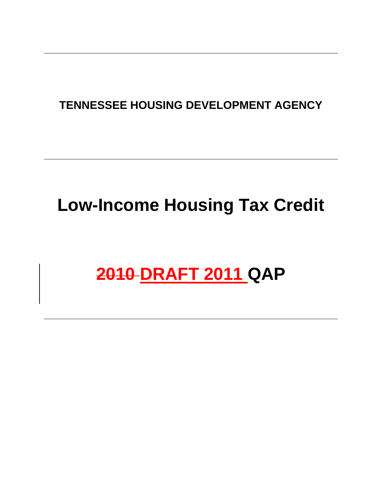# **TENNESSEE HOUSING DEVELOPMENT AGENCY**

# **Low-Income Housing Tax Credit**

# **2010 DRAFT 2011 QAP**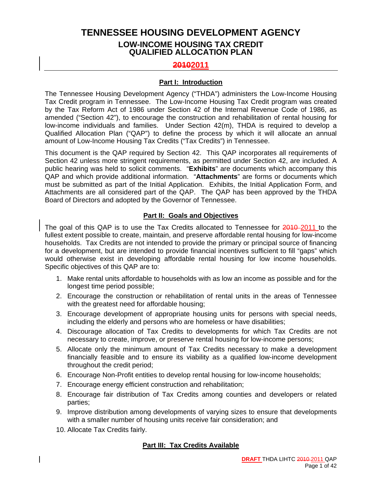### **TENNESSEE HOUSING DEVELOPMENT AGENCY LOW-INCOME HOUSING TAX CREDIT QUALIFIED ALLOCATION PLAN**

#### **20102011**

#### **Part I: Introduction**

The Tennessee Housing Development Agency ("THDA") administers the Low-Income Housing Tax Credit program in Tennessee. The Low-Income Housing Tax Credit program was created by the Tax Reform Act of 1986 under Section 42 of the Internal Revenue Code of 1986, as amended ("Section 42"), to encourage the construction and rehabilitation of rental housing for low-income individuals and families. Under Section 42(m), THDA is required to develop a Qualified Allocation Plan ("QAP") to define the process by which it will allocate an annual amount of Low-Income Housing Tax Credits ("Tax Credits") in Tennessee.

This document is the QAP required by Section 42. This QAP incorporates all requirements of Section 42 unless more stringent requirements, as permitted under Section 42, are included. A public hearing was held to solicit comments. "**Exhibits**" are documents which accompany this QAP and which provide additional information. "**Attachments**" are forms or documents which must be submitted as part of the Initial Application. Exhibits, the Initial Application Form, and Attachments are all considered part of the QAP. The QAP has been approved by the THDA Board of Directors and adopted by the Governor of Tennessee.

#### **Part II: Goals and Objectives**

The goal of this QAP is to use the Tax Credits allocated to Tennessee for 2010-2011 to the fullest extent possible to create, maintain, and preserve affordable rental housing for low-income households. Tax Credits are not intended to provide the primary or principal source of financing for a development, but are intended to provide financial incentives sufficient to fill "gaps" which would otherwise exist in developing affordable rental housing for low income households. Specific objectives of this QAP are to:

- 1. Make rental units affordable to households with as low an income as possible and for the longest time period possible;
- 2. Encourage the construction or rehabilitation of rental units in the areas of Tennessee with the greatest need for affordable housing;
- 3. Encourage development of appropriate housing units for persons with special needs, including the elderly and persons who are homeless or have disabilities;
- 4. Discourage allocation of Tax Credits to developments for which Tax Credits are not necessary to create, improve, or preserve rental housing for low-income persons;
- 5. Allocate only the minimum amount of Tax Credits necessary to make a development financially feasible and to ensure its viability as a qualified low-income development throughout the credit period;
- 6. Encourage Non-Profit entities to develop rental housing for low-income households;
- 7. Encourage energy efficient construction and rehabilitation;
- 8. Encourage fair distribution of Tax Credits among counties and developers or related parties;
- 9. Improve distribution among developments of varying sizes to ensure that developments with a smaller number of housing units receive fair consideration; and
- 10. Allocate Tax Credits fairly.

#### **Part III: Tax Credits Available**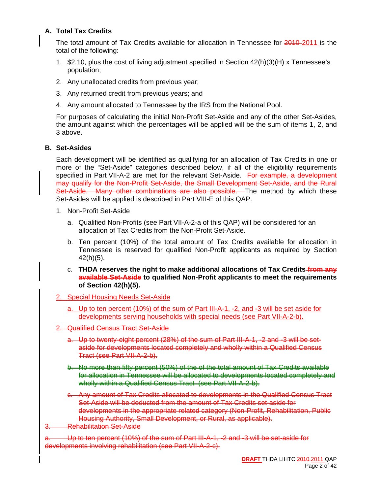#### **A. Total Tax Credits**

The total amount of Tax Credits available for allocation in Tennessee for 2010-2011 is the total of the following:

- 1. \$2.10, plus the cost of living adjustment specified in Section 42(h)(3)(H) x Tennessee's population;
- 2. Any unallocated credits from previous year;
- 3. Any returned credit from previous years; and
- 4. Any amount allocated to Tennessee by the IRS from the National Pool.

For purposes of calculating the initial Non-Profit Set-Aside and any of the other Set-Asides, the amount against which the percentages will be applied will be the sum of items 1, 2, and 3 above.

#### **B. Set-Asides**

Each development will be identified as qualifying for an allocation of Tax Credits in one or more of the "Set-Aside" categories described below, if all of the eligibility requirements specified in Part VII-A-2 are met for the relevant Set-Aside. For example, a development may qualify for the Non-Profit Set-Aside, the Small Development Set-Aside, and the Rural Set-Aside. Many other combinations are also possible. The method by which these Set-Asides will be applied is described in Part VIII-E of this QAP.

- 1. Non-Profit Set-Aside
	- a. Qualified Non-Profits (see Part VII-A-2-a of this QAP) will be considered for an allocation of Tax Credits from the Non-Profit Set-Aside.
	- b. Ten percent (10%) of the total amount of Tax Credits available for allocation in Tennessee is reserved for qualified Non-Profit applicants as required by Section 42(h)(5).
	- c. **THDA reserves the right to make additional allocations of Tax Credits from any available Set-Aside to qualified Non-Profit applicants to meet the requirements of Section 42(h)(5).**
- 2. Special Housing Needs Set-Aside
	- a. Up to ten percent (10%) of the sum of Part III-A-1, -2, and -3 will be set aside for developments serving households with special needs (see Part VII-A-2-b).
- 2. Qualified Census Tract Set-Aside
	- a. Up to twenty-eight percent (28%) of the sum of Part III-A-1, -2 and -3 will be setaside for developments located completely and wholly within a Qualified Census Tract (see Part VII-A-2-b).
	- b. No more than fifty percent (50%) of the of the total amount of Tax Credits available for allocation in Tennessee will be allocated to developments located completely and wholly within a Qualified Census Tract (see Part VII-A-2-b).
	- c. Any amount of Tax Credits allocated to developments in the Qualified Census Tract Set-Aside will be deducted from the amount of Tax Credits set-aside for developments in the appropriate related category (Non-Profit, Rehabilitation, Public Housing Authority, Small Development, or Rural, as applicable).
- **Rehabilitation Set-Aside**

a. Up to ten percent (10%) of the sum of Part III-A-1, -2 and -3 will be set-aside for developments involving rehabilitation (see Part VII-A-2-c).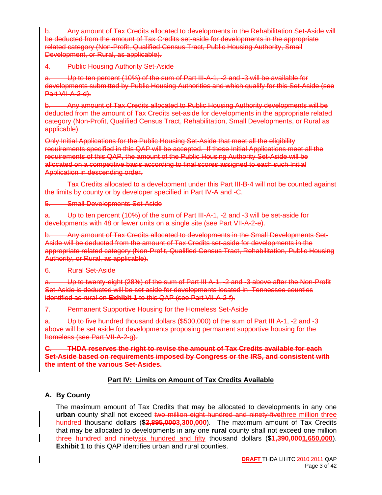Any amount of Tax Credits allocated to developments in the Rehabilitation Set-Aside will be deducted from the amount of Tax Credits set-aside for developments in the appropriate related category (Non-Profit, Qualified Census Tract, Public Housing Authority, Small Development, or Rural, as applicable).

4. Public Housing Authority Set-Aside

a. Up to ten percent (10%) of the sum of Part III-A-1, -2 and -3 will be available for developments submitted by Public Housing Authorities and which qualify for this Set-Aside (see  $Part  $\overline{VA} - 2 - d$ .$ 

b. Any amount of Tax Credits allocated to Public Housing Authority developments will be deducted from the amount of Tax Credits set-aside for developments in the appropriate related category (Non-Profit, Qualified Census Tract, Rehabilitation, Small Developments, or Rural as applicable).

Only Initial Applications for the Public Housing Set-Aside that meet all the eligibility requirements specified in this QAP will be accepted. If these Initial Applications meet all the requirements of this QAP, the amount of the Public Housing Authority Set-Aside will be allocated on a competitive basis according to final scores assigned to each such Initial Application in descending order.

Tax Credits allocated to a development under this Part III-B-4 will not be counted against the limits by county or by developer specified in Part IV-A and -C.

5. Small Developments Set-Aside

a. Up to ten percent (10%) of the sum of Part III-A-1, -2 and -3 will be set-aside for developments with 48 or fewer units on a single site (see Part VII-A-2-e).

b. Any amount of Tax Credits allocated to developments in the Small Developments Set-Aside will be deducted from the amount of Tax Credits set-aside for developments in the appropriate related category (Non-Profit, Qualified Census Tract, Rehabilitation, Public Housing Authority, or Rural, as applicable).

6. Rural Set-Aside

a. Up to twenty-eight (28%) of the sum of Part III A-1, -2 and -3 above after the Non-Profit Set-Aside is deducted will be set aside for developments located in Tennessee counties identified as rural on **Exhibit 1** to this QAP (see Part VII-A-2-f).

7. Permanent Supportive Housing for the Homeless Set-Aside

a. Up to five hundred thousand dollars (\$500,000) of the sum of Part III A-1, -2 and -3 above will be set aside for developments proposing permanent supportive housing for the homeless (see Part VII-A-2-g).

**C. THDA reserves the right to revise the amount of Tax Credits available for each Set-Aside based on requirements imposed by Congress or the IRS, and consistent with the intent of the various Set-Asides.**

#### **Part IV: Limits on Amount of Tax Credits Available**

#### **A. By County**

The maximum amount of Tax Credits that may be allocated to developments in any one urban county shall not exceed two million eight hundred and ninety-fivethree million three hundred thousand dollars (**\$2,895,0003,300,000**). The maximum amount of Tax Credits that may be allocated to developments in any one **rural** county shall not exceed one million three hundred and ninetysix hundred and fifty thousand dollars (**\$1,390,0001,650,000**). **Exhibit 1** to this QAP identifies urban and rural counties.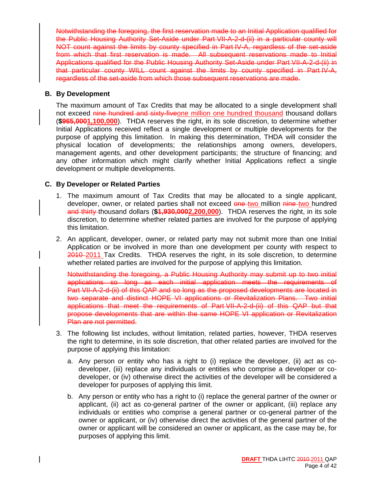Notwithstanding the foregoing, the first reservation made to an Initial Application qualified for the Public Housing Authority Set-Aside under Part VII-A-2-d-(ii) in a particular county will NOT count against the limits by county specified in Part IV-A, regardless of the set-aside from which that first reservation is made. All subsequent reservations made to Initial Applications qualified for the Public Housing Authority Set-Aside under Part VII-A-2-d-(ii) in that particular county WILL count against the limits by county specified in Part IV-A, regardless of the set-aside from which those subsequent reservations are made.

#### **B. By Development**

The maximum amount of Tax Credits that may be allocated to a single development shall not exceed nine hundred and sixty-fiveone million one hundred thousand thousand dollars (**\$965,0001,100,000**). THDA reserves the right, in its sole discretion, to determine whether Initial Applications received reflect a single development or multiple developments for the purpose of applying this limitation. In making this determination, THDA will consider the physical location of developments; the relationships among owners, developers, management agents, and other development participants; the structure of financing; and any other information which might clarify whether Initial Applications reflect a single development or multiple developments.

#### **C. By Developer or Related Parties**

- 1. The maximum amount of Tax Credits that may be allocated to a single applicant, developer, owner, or related parties shall not exceed one two million nine two hundred and thirty thousand dollars (\$1,930,0002,200,000). THDA reserves the right, in its sole discretion, to determine whether related parties are involved for the purpose of applying this limitation.
- 2. An applicant, developer, owner, or related party may not submit more than one Initial Application or be involved in more than one development per county with respect to 2010-2011 Tax Credits. THDA reserves the right, in its sole discretion, to determine whether related parties are involved for the purpose of applying this limitation.

Notwithstanding the foregoing, a Public Housing Authority may submit up to two initial applications so long as each initial application meets the requirements of Part VII-A-2-d-(ii) of this QAP and so long as the proposed developments are located in two separate and distinct HOPE VI applications or Revitalization Plans. Two initial applications that meet the requirements of Part VII-A-2-d-(ii) of this QAP but that propose developments that are within the same HOPE VI application or Revitalization Plan are not permitted.

- 3. The following list includes, without limitation, related parties, however, THDA reserves the right to determine, in its sole discretion, that other related parties are involved for the purpose of applying this limitation:
	- a. Any person or entity who has a right to (i) replace the developer, (ii) act as codeveloper, (iii) replace any individuals or entities who comprise a developer or codeveloper, or (iv) otherwise direct the activities of the developer will be considered a developer for purposes of applying this limit.
	- b. Any person or entity who has a right to (i) replace the general partner of the owner or applicant, (ii) act as co-general partner of the owner or applicant, (iii) replace any individuals or entities who comprise a general partner or co-general partner of the owner or applicant, or (iv) otherwise direct the activities of the general partner of the owner or applicant will be considered an owner or applicant, as the case may be, for purposes of applying this limit.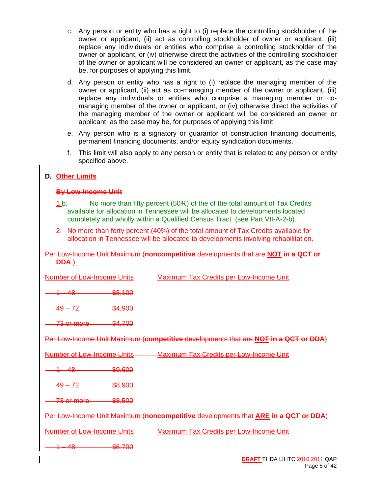- c. Any person or entity who has a right to (i) replace the controlling stockholder of the owner or applicant, (ii) act as controlling stockholder of owner or applicant, (iii) replace any individuals or entities who comprise a controlling stockholder of the owner or applicant, or (iv) otherwise direct the activities of the controlling stockholder of the owner or applicant will be considered an owner or applicant, as the case may be, for purposes of applying this limit.
- d. Any person or entity who has a right to (i) replace the managing member of the owner or applicant, (ii) act as co-managing member of the owner or applicant, (iii) replace any individuals or entities who comprise a managing member or comanaging member of the owner or applicant, or (iv) otherwise direct the activities of the managing member of the owner or applicant will be considered an owner or applicant, as the case may be, for purposes of applying this limit.
- e. Any person who is a signatory or guarantor of construction financing documents, permanent financing documents, and/or equity syndication documents.
- f. This limit will also apply to any person or entity that is related to any person or entity specified above.

#### **D. Other Limits**

#### **By Low-Income Unit**

- 1.b. No more than fifty percent (50%) of the of the total amount of Tax Credits available for allocation in Tennessee will be allocated to developments located completely and wholly within a Qualified Census Tract–(see Part VII-A-2-b).
- 2. No more than forty percent (40%) of the total amount of Tax Credits available for allocation in Tennessee will be allocated to developments involving rehabilitation.

#### Per Low-Income Unit Maximum (**noncompetitive** developments that are **NOT in a QCT or DDA** )

| Number of Low-Income Unite |                                      |                                                   |
|----------------------------|--------------------------------------|---------------------------------------------------|
|                            |                                      | Maximum Tax Crodite par Low-Incomo Upit           |
|                            | <u>INGITING OF LOW THOUTHG CHING</u> | <u> INUXILIUITI TUX OTOURO POT LOW INOUNO ONR</u> |

48 <del>6,100</del>

49 – 72 \$4,900

73 or more \$4,700

Per Low-Income Unit Maximum (**competitive** developments that are **NOT in a QCT or DDA**)

| mhar of Low-Incomal       | <b>Linite</b> | <b>Maximum Tax Credits per Low-Income</b><br>Init                                  |
|---------------------------|---------------|------------------------------------------------------------------------------------|
| 1 Q<br><b>TO</b>          | \$9,600       |                                                                                    |
| ⊿ם ⊿<br>. 79<br>۰J<br>┮   | \$8,900       |                                                                                    |
| 73 or more                | \$8,500       |                                                                                    |
|                           |               | Per Low-Income Unit Maximum (noncompetitive developments that ARE in a QCT or DDA) |
| umber of Low-Income Units |               | <b>Maximum Tax Credits per Low-Income Unit</b>                                     |
| 10<br>т.                  | \$6,700       |                                                                                    |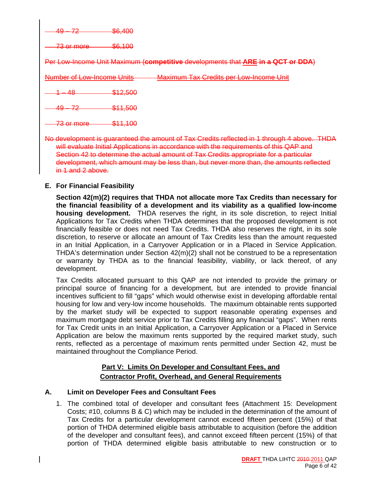\$6,400

 $\overline{\text{or more}}$   $\overline{\text{$6,100}}$ 

Per Low-Income Unit Maximum (**competitive** developments that **ARE in a QCT or DDA**)

Number of Low-Income Units Maximum Tax Credits per Low-Income Unit

 $$12.500$ 

<u>72 – \$11,500</u>

73 or more \$11,100

No development is guaranteed the amount of Tax Credits reflected in 1 through 4 above. THDA will evaluate Initial Applications in accordance with the requirements of this QAP and Section 42 to determine the actual amount of Tax Credits appropriate for a particular development, which amount may be less than, but never more than, the amounts reflected in 1 and 2 above.

#### **E. For Financial Feasibility**

**Section 42(m)(2) requires that THDA not allocate more Tax Credits than necessary for the financial feasibility of a development and its viability as a qualified low-income housing development.** THDA reserves the right, in its sole discretion, to reject Initial Applications for Tax Credits when THDA determines that the proposed development is not financially feasible or does not need Tax Credits. THDA also reserves the right, in its sole discretion, to reserve or allocate an amount of Tax Credits less than the amount requested in an Initial Application, in a Carryover Application or in a Placed in Service Application. THDA's determination under Section 42(m)(2) shall not be construed to be a representation or warranty by THDA as to the financial feasibility, viability, or lack thereof, of any development.

Tax Credits allocated pursuant to this QAP are not intended to provide the primary or principal source of financing for a development, but are intended to provide financial incentives sufficient to fill "gaps" which would otherwise exist in developing affordable rental housing for low and very-low income households. The maximum obtainable rents supported by the market study will be expected to support reasonable operating expenses and maximum mortgage debt service prior to Tax Credits filling any financial "gaps". When rents for Tax Credit units in an Initial Application, a Carryover Application or a Placed in Service Application are below the maximum rents supported by the required market study, such rents, reflected as a percentage of maximum rents permitted under Section 42, must be maintained throughout the Compliance Period.

#### **Part V: Limits On Developer and Consultant Fees, and Contractor Profit, Overhead, and General Requirements**

#### **A. Limit on Developer Fees and Consultant Fees**

1. The combined total of developer and consultant fees (Attachment 15: Development Costs; #10, columns B & C) which may be included in the determination of the amount of Tax Credits for a particular development cannot exceed fifteen percent (15%) of that portion of THDA determined eligible basis attributable to acquisition (before the addition of the developer and consultant fees), and cannot exceed fifteen percent (15%) of that portion of THDA determined eligible basis attributable to new construction or to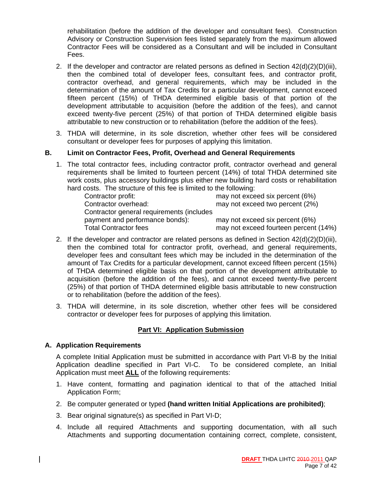rehabilitation (before the addition of the developer and consultant fees). Construction Advisory or Construction Supervision fees listed separately from the maximum allowed Contractor Fees will be considered as a Consultant and will be included in Consultant Fees.

- 2. If the developer and contractor are related persons as defined in Section  $42(d)(2)(D)(iii)$ , then the combined total of developer fees, consultant fees, and contractor profit, contractor overhead, and general requirements, which may be included in the determination of the amount of Tax Credits for a particular development, cannot exceed fifteen percent (15%) of THDA determined eligible basis of that portion of the development attributable to acquisition (before the addition of the fees), and cannot exceed twenty-five percent (25%) of that portion of THDA determined eligible basis attributable to new construction or to rehabilitation (before the addition of the fees).
- 3. THDA will determine, in its sole discretion, whether other fees will be considered consultant or developer fees for purposes of applying this limitation.

#### **B. Limit on Contractor Fees, Profit, Overhead and General Requirements**

1. The total contractor fees, including contractor profit, contractor overhead and general requirements shall be limited to fourteen percent (14%) of total THDA determined site work costs, plus accessory buildings plus either new building hard costs or rehabilitation hard costs. The structure of this fee is limited to the following:

| Contractor profit:                        | may not exceed six percent (6%)       |
|-------------------------------------------|---------------------------------------|
| Contractor overhead:                      | may not exceed two percent (2%)       |
| Contractor general requirements (includes |                                       |
| payment and performance bonds):           | may not exceed six percent (6%)       |
| Total Contractor fees                     | may not exceed fourteen percent (14%) |

- 2. If the developer and contractor are related persons as defined in Section  $42(d)(2)(D)(iii)$ , then the combined total for contractor profit, overhead, and general requirements, developer fees and consultant fees which may be included in the determination of the amount of Tax Credits for a particular development, cannot exceed fifteen percent (15%) of THDA determined eligible basis on that portion of the development attributable to acquisition (before the addition of the fees), and cannot exceed twenty-five percent (25%) of that portion of THDA determined eligible basis attributable to new construction or to rehabilitation (before the addition of the fees).
- 3. THDA will determine, in its sole discretion, whether other fees will be considered contractor or developer fees for purposes of applying this limitation.

#### **Part VI: Application Submission**

#### **A. Application Requirements**

A complete Initial Application must be submitted in accordance with Part VI-B by the Initial Application deadline specified in Part VI-C. To be considered complete, an Initial Application must meet **ALL** of the following requirements:

- 1. Have content, formatting and pagination identical to that of the attached Initial Application Form;
- 2. Be computer generated or typed **(hand written Initial Applications are prohibited)**;
- 3. Bear original signature(s) as specified in Part VI-D;
- 4. Include all required Attachments and supporting documentation, with all such Attachments and supporting documentation containing correct, complete, consistent,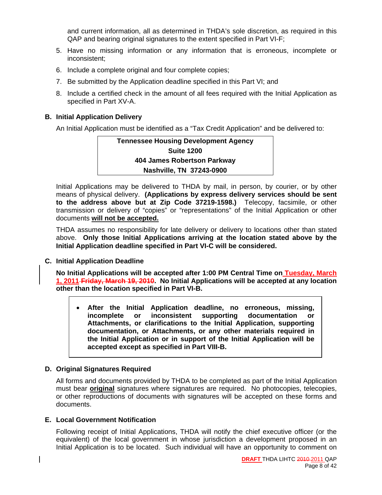and current information, all as determined in THDA's sole discretion, as required in this QAP and bearing original signatures to the extent specified in Part VI-F;

- 5. Have no missing information or any information that is erroneous, incomplete or inconsistent;
- 6. Include a complete original and four complete copies;
- 7. Be submitted by the Application deadline specified in this Part VI; and
- 8. Include a certified check in the amount of all fees required with the Initial Application as specified in Part XV-A.

#### **B. Initial Application Delivery**

An Initial Application must be identified as a "Tax Credit Application" and be delivered to:

| <b>Tennessee Housing Development Agency</b> |
|---------------------------------------------|
| <b>Suite 1200</b>                           |
| 404 James Robertson Parkway                 |
| Nashville, TN 37243-0900                    |

Initial Applications may be delivered to THDA by mail, in person, by courier, or by other means of physical delivery. **(Applications by express delivery services should be sent to the address above but at Zip Code 37219-1598.)** Telecopy, facsimile, or other transmission or delivery of "copies" or "representations" of the Initial Application or other documents **will not be accepted.**

THDA assumes no responsibility for late delivery or delivery to locations other than stated above. **Only those Initial Applications arriving at the location stated above by the Initial Application deadline specified in Part VI-C will be considered.** 

#### **C. Initial Application Deadline**

**No Initial Applications will be accepted after 1:00 PM Central Time on Tuesday, March 1, 2011 Friday, March 19, 2010. No Initial Applications will be accepted at any location other than the location specified in Part VI-B.** 

• **After the Initial Application deadline, no erroneous, missing, incomplete or inconsistent supporting documentation or Attachments, or clarifications to the Initial Application, supporting documentation, or Attachments, or any other materials required in the Initial Application or in support of the Initial Application will be accepted except as specified in Part VIII-B.** 

#### **D. Original Signatures Required**

All forms and documents provided by THDA to be completed as part of the Initial Application must bear **original** signatures where signatures are required. No photocopies, telecopies, or other reproductions of documents with signatures will be accepted on these forms and documents.

#### **E. Local Government Notification**

Following receipt of Initial Applications, THDA will notify the chief executive officer (or the equivalent) of the local government in whose jurisdiction a development proposed in an Initial Application is to be located. Such individual will have an opportunity to comment on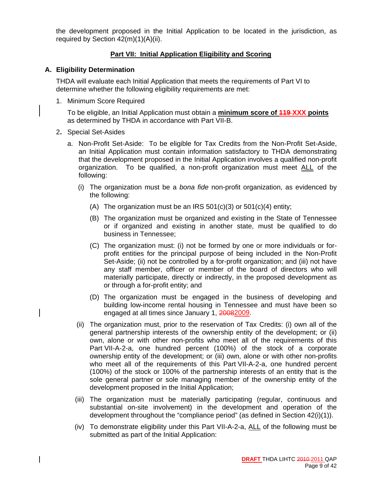the development proposed in the Initial Application to be located in the jurisdiction, as required by Section 42(m)(1)(A)(ii).

#### **Part VII: Initial Application Eligibility and Scoring**

#### **A. Eligibility Determination**

THDA will evaluate each Initial Application that meets the requirements of Part VI to determine whether the following eligibility requirements are met:

1. Minimum Score Required

To be eligible, an Initial Application must obtain a **minimum score of 119 XXX points** as determined by THDA in accordance with Part VII-B.

- 2**.** Special Set-Asides
	- a. Non-Profit Set-Aside: To be eligible for Tax Credits from the Non-Profit Set-Aside, an Initial Application must contain information satisfactory to THDA demonstrating that the development proposed in the Initial Application involves a qualified non-profit organization. To be qualified, a non-profit organization must meet ALL of the following:
		- (i) The organization must be a *bona fide* non-profit organization, as evidenced by the following:
			- (A) The organization must be an IRS  $501(c)(3)$  or  $501(c)(4)$  entity;
			- (B) The organization must be organized and existing in the State of Tennessee or if organized and existing in another state, must be qualified to do business in Tennessee;
			- (C) The organization must: (i) not be formed by one or more individuals or forprofit entities for the principal purpose of being included in the Non-Profit Set-Aside; (ii) not be controlled by a for-profit organization; and (iii) not have any staff member, officer or member of the board of directors who will materially participate, directly or indirectly, in the proposed development as or through a for-profit entity; and
			- (D) The organization must be engaged in the business of developing and building low-income rental housing in Tennessee and must have been so engaged at all times since January 1, 20082009.
		- (ii) The organization must, prior to the reservation of Tax Credits: (i) own all of the general partnership interests of the ownership entity of the development; or (ii) own, alone or with other non-profits who meet all of the requirements of this Part VII-A-2-a, one hundred percent (100%) of the stock of a corporate ownership entity of the development; or (iii) own, alone or with other non-profits who meet all of the requirements of this Part VII-A-2-a, one hundred percent (100%) of the stock or 100% of the partnership interests of an entity that is the sole general partner or sole managing member of the ownership entity of the development proposed in the Initial Application;
		- (iii) The organization must be materially participating (regular, continuous and substantial on-site involvement) in the development and operation of the development throughout the "compliance period" (as defined in Section 42(i)(1)).
		- (iv) To demonstrate eligibility under this Part VII-A-2-a, ALL of the following must be submitted as part of the Initial Application: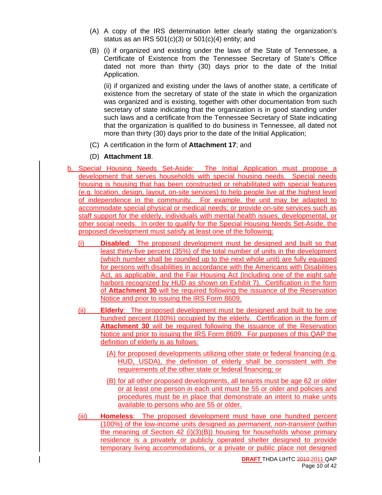- (A) A copy of the IRS determination letter clearly stating the organization's status as an IRS  $501(c)(3)$  or  $501(c)(4)$  entity; and
- (B) (i) if organized and existing under the laws of the State of Tennessee, a Certificate of Existence from the Tennessee Secretary of State's Office dated not more than thirty (30) days prior to the date of the Initial Application.

 (ii) if organized and existing under the laws of another state, a certificate of existence from the secretary of state of the state in which the organization was organized and is existing, together with other documentation from such secretary of state indicating that the organization is in good standing under such laws and a certificate from the Tennessee Secretary of State indicating that the organization is qualified to do business in Tennessee, all dated not more than thirty (30) days prior to the date of the Initial Application;

- (C) A certification in the form of **Attachment 17**; and
- (D) **Attachment 18**.
- b. Special Housing Needs Set-Aside: The Initial Application must propose a development that serves households with special housing needs. Special needs housing is housing that has been constructed or rehabilitated with special features (e.g. location, design, layout, on-site services) to help people live at the highest level of independence in the community. For example, the unit may be adapted to accommodate special physical or medical needs; or provide on-site services such as staff support for the elderly, individuals with mental health issues, developmental, or other social needs. In order to qualify for the Special Housing Needs Set-Aside, the proposed development must satisfy at least one of the following:
	- (i) **Disabled**: The proposed development must be designed and built so that least thirty-five percent (35%) of the total number of units in the development (which number shall be rounded up to the next whole unit) are fully equipped for persons with disabilities in accordance with the Americans with Disabilities Act, as applicable, and the Fair Housing Act (including one of the eight safe harbors recognized by HUD as shown on Exhibit 7). Certification in the form of **Attachment 30** will be required following the issuance of the Reservation Notice and prior to issuing the IRS Form 8609.
	- (ii) **Elderly**: The proposed development must be designed and built to be one hundred percent (100%) occupied by the elderly. Certification in the form of **Attachment 30** will be required following the issuance of the Reservation Notice and prior to issuing the IRS Form 8609. For purposes of this QAP the definition of elderly is as follows:
		- (A) for proposed developments utilizing other state or federal financing (e.g. HUD, USDA), the definition of elderly shall be consistent with the requirements of the other state or federal financing; or
		- (B) for all other proposed developments, all tenants must be age 62 or older or at least one person in each unit must be 55 or older and policies and procedures must be in place that demonstrate an intent to make units available to persons who are 55 or older.
	- (iii) **Homeless**: The proposed development must have one hundred percent (100%) of the low-income units designed as *permanent, non-transient* (within the meaning of Section 42 (i)(3)(B)) housing for households whose primary residence is a privately or publicly operated shelter designed to provide temporary living accommodations, or a private or public place not designed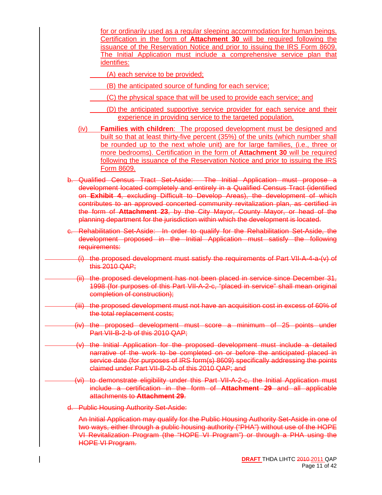for or ordinarily used as a regular sleeping accommodation for human beings. Certification in the form of **Attachment 30** will be required following the issuance of the Reservation Notice and prior to issuing the IRS Form 8609. The Initial Application must include a comprehensive service plan that identifies:

(A) each service to be provided;

- (B) the anticipated source of funding for each service;
- (C) the physical space that will be used to provide each service; and
- (D) the anticipated supportive service provider for each service and their experience in providing service to the targeted population.
- (iv) **Families with children**: The proposed development must be designed and built so that at least thirty-five percent (35%) of the units (which number shall be rounded up to the next whole unit) are for large families, (i.e., three or more bedrooms). Certification in the form of **Attachment 30** will be required following the issuance of the Reservation Notice and prior to issuing the IRS Form 8609.
- b. Qualified Census Tract Set-Aside: The Initial Application must propose a development located completely and entirely in a Qualified Census Tract (identified on **Exhibit 4**, excluding Difficult to Develop Areas), the development of which contributes to an approved concerted community revitalization plan, as certified in the form of **Attachment 23**, by the City Mayor, County Mayor, or head of the planning department for the jurisdiction within which the development is located.
- Rehabilitation Set-Aside: In order to qualify for the Rehabilitation Set-Aside, the development proposed in the Initial Application must satisfy the following requirements:
	- (i) the proposed development must satisfy the requirements of Part VII-A-4-a-(v) of this 2010 QAP;
- the proposed development has not been placed in service since December 31, 1998 (for purposes of this Part VII-A-2-c, "placed in service" shall mean original completion of construction);
	- (iii) the proposed development must not have an acquisition cost in excess of 60% of the total replacement costs;
	- (iv) the proposed development must score a minimum of 25 points under Part VII-B-2-b of this 2010 QAP;
	- (v) the Initial Application for the proposed development must include a detailed narrative of the work to be completed on or before the anticipated placed in service date (for purposes of IRS form(s) 8609) specifically addressing the points claimed under Part VII-B-2-b of this 2010 QAP; and
	- (vi) to demonstrate eligibility under this Part VII-A-2-c, the Initial Application must include a certification in the form of **Attachment 29** and all applicable attachments to **Attachment 29**.
- d. Public Housing Authority Set-Aside:

An Initial Application may qualify for the Public Housing Authority Set-Aside in one of two ways, either through a public housing authority ("PHA") without use of the HOPE VI Revitalization Program (the "HOPE VI Program") or through a PHA using the HOPE VI Program.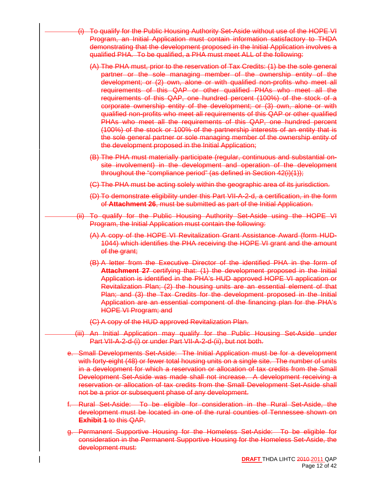- To qualify for the Public Housing Authority Set-Aside without use of the HOPE VI Program, an Initial Application must contain information satisfactory to THDA demonstrating that the development proposed in the Initial Application involves a qualified PHA. To be qualified, a PHA must meet ALL of the following:
	- (A) The PHA must, prior to the reservation of Tax Credits: (1) be the sole general partner or the sole managing member of the ownership entity of the development; or (2) own, alone or with qualified non-profits who meet all requirements of this QAP or other qualified PHAs who meet all the requirements of this QAP, one hundred percent (100%) of the stock of a corporate ownership entity of the development; or (3) own, alone or with qualified non-profits who meet all requirements of this QAP or other qualified PHAs who meet all the requirements of this QAP, one hundred percent (100%) of the stock or 100% of the partnership interests of an entity that is the sole general partner or sole managing member of the ownership entity of the development proposed in the Initial Application;
	- (B) The PHA must materially participate (regular, continuous and substantial onsite involvement) in the development and operation of the development throughout the "compliance period" (as defined in Section 42(i)(1));
	- (C) The PHA must be acting solely within the geographic area of its jurisdiction.
	- (D) To demonstrate eligibility under this Part VII-A-2-d, a certification, in the form of **Attachment 26**, must be submitted as part of the Initial Application.
- (ii) To qualify for the Public Housing Authority Set-Aside using the HOPE VI Program, the Initial Application must contain the following:
	- (A) A copy of the HOPE VI Revitalization Grant Assistance Award (form HUD-1044) which identifies the PHA receiving the HOPE VI grant and the amount of the grant;
	- (B) A letter from the Executive Director of the identified PHA in the form of **Attachment 27** certifying that: (1) the development proposed in the Initial Application is identified in the PHA's HUD approved HOPE VI application or Revitalization Plan; (2) the housing units are an essential element of that Plan; and (3) the Tax Credits for the development proposed in the Initial Application are an essential component of the financing plan for the PHA's HOPE VI Program; and
	- (C) A copy of the HUD approved Revitalization Plan.
- (iii) An Initial Application may qualify for the Public Housing Set-Aside under Part VII-A-2-d-(i) or under Part VII-A-2-d-(ii), but not both.
- e. Small Developments Set-Aside: The Initial Application must be for a development with forty-eight (48) or fewer total housing units on a single site. The number of units in a development for which a reservation or allocation of tax credits from the Small Development Set-Aside was made shall not increase. A development receiving a reservation or allocation of tax credits from the Small Development Set-Aside shall not be a prior or subsequent phase of any development.
- f. Rural Set-Aside: To be eligible for consideration in the Rural Set-Aside, the development must be located in one of the rural counties of Tennessee shown on **Exhibit 1** to this QAP.
- g. Permanent Supportive Housing for the Homeless Set-Aside: To be eligible for consideration in the Permanent Supportive Housing for the Homeless Set-Aside, the development must: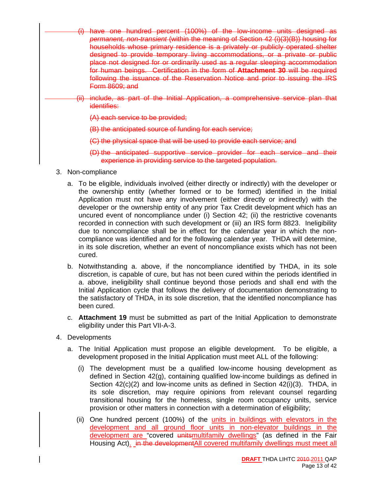- have one hundred percent (100%) of the low-income units designed as *permanent, non-transient* (within the meaning of Section 42 (i)(3)(B)) housing for households whose primary residence is a privately or publicly operated shelter designed to provide temporary living accommodations, or a private or public place not designed for or ordinarily used as a regular sleeping accommodation for human beings. Certification in the form of **Attachment 30** will be required following the issuance of the Reservation Notice and prior to issuing the IRS Form 8609; and
- include, as part of the Initial Application, a comprehensive service plan that identifies:
	- (A) each service to be provided;
	- (B) the anticipated source of funding for each service;
	- (C) the physical space that will be used to provide each service; and
	- (D) the anticipated supportive service provider for each service and their experience in providing service to the targeted population.
- 3. Non-compliance
	- a. To be eligible, individuals involved (either directly or indirectly) with the developer or the ownership entity (whether formed or to be formed) identified in the Initial Application must not have any involvement (either directly or indirectly) with the developer or the ownership entity of any prior Tax Credit development which has an uncured event of noncompliance under (i) Section 42; (ii) the restrictive covenants recorded in connection with such development or (iii) an IRS form 8823. Ineligibility due to noncompliance shall be in effect for the calendar year in which the noncompliance was identified and for the following calendar year. THDA will determine, in its sole discretion, whether an event of noncompliance exists which has not been cured.
	- b. Notwithstanding a. above, if the noncompliance identified by THDA, in its sole discretion, is capable of cure, but has not been cured within the periods identified in a. above, ineligibility shall continue beyond those periods and shall end with the Initial Application cycle that follows the delivery of documentation demonstrating to the satisfactory of THDA, in its sole discretion, that the identified noncompliance has been cured.
	- c. **Attachment 19** must be submitted as part of the Initial Application to demonstrate eligibility under this Part VII-A-3.
- 4. Developments
	- a. The Initial Application must propose an eligible development. To be eligible, a development proposed in the Initial Application must meet ALL of the following:
		- (i) The development must be a qualified low-income housing development as defined in Section 42(g), containing qualified low-income buildings as defined in Section 42(c)(2) and low-income units as defined in Section 42(i)(3). THDA, in its sole discretion, may require opinions from relevant counsel regarding transitional housing for the homeless, single room occupancy units, service provision or other matters in connection with a determination of eligibility;
		- (ii) One hundred percent (100%) of the *units in buildings with elevators in the* development and all ground floor units in non-elevator buildings in the development are "covered unitsmultifamily dwellings" (as defined in the Fair Housing Act). in the developmentAll covered multifamily dwellings must meet all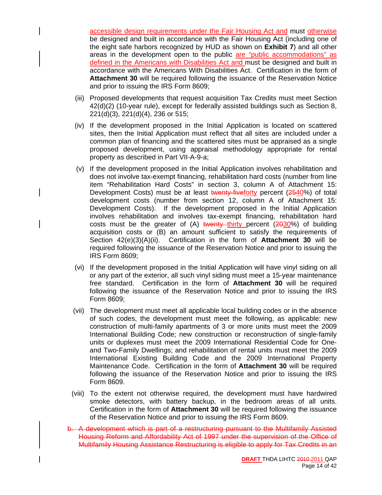accessible design requirements under the Fair Housing Act and must otherwise be designed and built in accordance with the Fair Housing Act (including one of the eight safe harbors recognized by HUD as shown on **Exhibit 7**) and all other areas in the development open to the public are "public accommodations" as defined in the Americans with Disabilities Act and must be designed and built in accordance with the Americans With Disabilities Act. Certification in the form of **Attachment 30** will be required following the issuance of the Reservation Notice and prior to issuing the IRS Form 8609;

- (iii) Proposed developments that request acquisition Tax Credits must meet Section 42(d)(2) (10-year rule), except for federally assisted buildings such as Section 8, 221(d)(3), 221(d)(4), 236 or 515;
- (iv) If the development proposed in the Initial Application is located on scattered sites, then the Initial Application must reflect that all sites are included under a common plan of financing and the scattered sites must be appraised as a single proposed development, using appraisal methodology appropriate for rental property as described in Part VII-A-9-a;
- (v) If the development proposed in the Initial Application involves rehabilitation and does not involve tax-exempt financing, rehabilitation hard costs (number from line item "Rehabilitation Hard Costs" in section 3, column A of Attachment 15: Development Costs) must be at least twenty-fiveforty percent (2540%) of total development costs (number from section 12, column A of Attachment 15: Development Costs). If the development proposed in the Initial Application involves rehabilitation and involves tax-exempt financing, rehabilitation hard costs must be the greater of  $(A)$  twenty thirty percent  $(2030%)$  of building acquisition costs or (B) an amount sufficient to satisfy the requirements of Section 42(e)(3)(A)(ii). Certification in the form of **Attachment 30** will be required following the issuance of the Reservation Notice and prior to issuing the IRS Form 8609;
- (vi) If the development proposed in the Initial Application will have vinyl siding on all or any part of the exterior, all such vinyl siding must meet a 15-year maintenance free standard. Certification in the form of **Attachment 30** will be required following the issuance of the Reservation Notice and prior to issuing the IRS Form 8609;
- (vii) The development must meet all applicable local building codes or in the absence of such codes, the development must meet the following, as applicable: new construction of multi-family apartments of 3 or more units must meet the 2009 International Building Code; new construction or reconstruction of single-family units or duplexes must meet the 2009 International Residential Code for Oneand Two-Family Dwellings; and rehabilitation of rental units must meet the 2009 International Existing Building Code and the 2009 International Property Maintenance Code. Certification in the form of **Attachment 30** will be required following the issuance of the Reservation Notice and prior to issuing the IRS Form 8609.
- (viii) To the extent not otherwise required, the development must have hardwired smoke detectors, with battery backup, in the bedroom areas of all units. Certification in the form of **Attachment 30** will be required following the issuance of the Reservation Notice and prior to issuing the IRS Form 8609.

b. A development which is part of a restructuring pursuant to the Multifamily Assisted Housing Reform and Affordability Act of 1997 under the supervision of the Office of Multifamily Housing Assistance Restructuring is eligible to apply for Tax Credits in an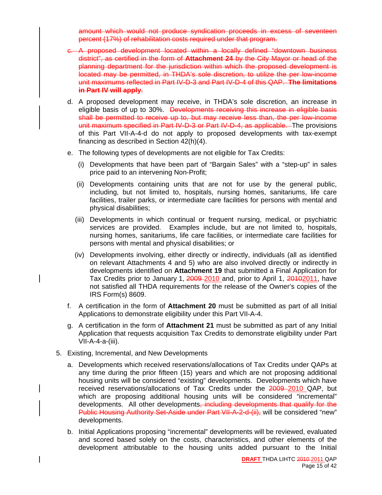amount which would not produce syndication proceeds in excess of seventeen percent (17%) of rehabilitation costs required under that program.

- c. A proposed development located within a locally defined "downtown business district", as certified in the form of **Attachment 24** by the City Mayor or head of the planning department for the jurisdiction within which the proposed development is located may be permitted, in THDA's sole discretion, to utilize the per low-income unit maximums reflected in Part IV-D-3 and Part IV-D-4 of this QAP. **The limitations in Part IV will apply**.
- d. A proposed development may receive, in THDA's sole discretion, an increase in eligible basis of up to 30%. <del>Developments receiving this increase in eligible basis</del> shall be permitted to receive up to, but may receive less than, the per low-income unit maximum specified in Part IV-D-3 or Part IV-D-4, as applicable. The provisions of this Part VII-A-4-d do not apply to proposed developments with tax-exempt financing as described in Section 42(h)(4).
- e. The following types of developments are not eligible for Tax Credits:
	- (i) Developments that have been part of "Bargain Sales" with a "step-up" in sales price paid to an intervening Non-Profit;
	- (ii) Developments containing units that are not for use by the general public, including, but not limited to, hospitals, nursing homes, sanitariums, life care facilities, trailer parks, or intermediate care facilities for persons with mental and physical disabilities;
	- (iii) Developments in which continual or frequent nursing, medical, or psychiatric services are provided. Examples include, but are not limited to, hospitals, nursing homes, sanitariums, life care facilities, or intermediate care facilities for persons with mental and physical disabilities; or
	- (iv) Developments involving, either directly or indirectly, individuals (all as identified on relevant Attachments 4 and 5) who are also involved directly or indirectly in developments identified on **Attachment 19** that submitted a Final Application for Tax Credits prior to January 1, 2009 2010 and, prior to April 1, 20102011, have not satisfied all THDA requirements for the release of the Owner's copies of the IRS Form(s) 8609.
- f. A certification in the form of **Attachment 20** must be submitted as part of all Initial Applications to demonstrate eligibility under this Part VII-A-4.
- g. A certification in the form of **Attachment 21** must be submitted as part of any Initial Application that requests acquisition Tax Credits to demonstrate eligibility under Part VII-A-4-a-(iii).
- 5. Existing, Incremental, and New Developments
	- a. Developments which received reservations/allocations of Tax Credits under QAPs at any time during the prior fifteen (15) years and which are not proposing additional housing units will be considered "existing" developments. Developments which have received reservations/allocations of Tax Credits under the 2009 2010 QAP, but which are proposing additional housing units will be considered "incremental" developments. All other developments, including developments that qualify for the Public Housing Authority Set-Aside under Part VII-A-2-d-(ii), will be considered "new" developments.
	- b. Initial Applications proposing "incremental" developments will be reviewed, evaluated and scored based solely on the costs, characteristics, and other elements of the development attributable to the housing units added pursuant to the Initial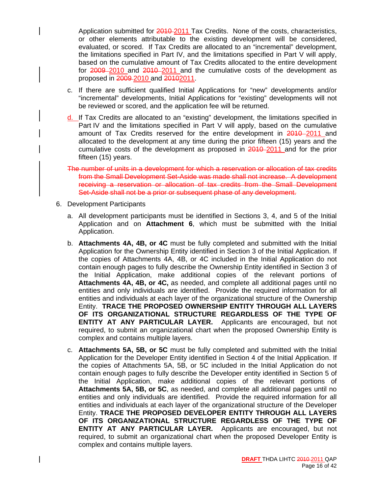Application submitted for 2010 2011 Tax Credits. None of the costs, characteristics, or other elements attributable to the existing development will be considered, evaluated, or scored. If Tax Credits are allocated to an "incremental" development, the limitations specified in Part IV, and the limitations specified in Part V will apply, based on the cumulative amount of Tax Credits allocated to the entire development for 2009–2010 and 2010–2011 and the cumulative costs of the development as proposed in 2009-2010 and 20102011.

- c. If there are sufficient qualified Initial Applications for "new" developments and/or "incremental" developments, Initial Applications for "existing" developments will not be reviewed or scored, and the application fee will be returned.
- d. If Tax Credits are allocated to an "existing" development, the limitations specified in Part IV and the limitations specified in Part V will apply, based on the cumulative amount of Tax Credits reserved for the entire development in 2010–2011 and allocated to the development at any time during the prior fifteen (15) years and the cumulative costs of the development as proposed in 2010–2011 and for the prior fifteen (15) years.
- The number of units in a development for which a reservation or allocation of tax credits from the Small Development Set-Aside was made shall not increase. A development receiving a reservation or allocation of tax credits from the Small Development Set-Aside shall not be a prior or subsequent phase of any development.
- 6. Development Participants
	- a. All development participants must be identified in Sections 3, 4, and 5 of the Initial Application and on **Attachment 6**, which must be submitted with the Initial Application.
	- b. **Attachments 4A, 4B, or 4C** must be fully completed and submitted with the Initial Application for the Ownership Entity identified in Section 3 of the Initial Application. If the copies of Attachments 4A, 4B, or 4C included in the Initial Application do not contain enough pages to fully describe the Ownership Entity identified in Section 3 of the Initial Application, make additional copies of the relevant portions of **Attachments 4A, 4B, or 4C,** as needed, and complete all additional pages until no entities and only individuals are identified. Provide the required information for all entities and individuals at each layer of the organizational structure of the Ownership Entity. **TRACE THE PROPOSED OWNERSHIP ENTITY THROUGH ALL LAYERS OF ITS ORGANIZATIONAL STRUCTURE REGARDLESS OF THE TYPE OF ENTITY AT ANY PARTICULAR LAYER.** Applicants are encouraged, but not required, to submit an organizational chart when the proposed Ownership Entity is complex and contains multiple layers.
	- c. **Attachments 5A, 5B, or 5C** must be fully completed and submitted with the Initial Application for the Developer Entity identified in Section 4 of the Initial Application. If the copies of Attachments 5A, 5B, or 5C included in the Initial Application do not contain enough pages to fully describe the Developer entity identified in Section 5 of the Initial Application, make additional copies of the relevant portions of **Attachments 5A, 5B, or 5C**, as needed, and complete all additional pages until no entities and only individuals are identified. Provide the required information for all entities and individuals at each layer of the organizational structure of the Developer Entity. **TRACE THE PROPOSED DEVELOPER ENTITY THROUGH ALL LAYERS OF ITS ORGANIZATIONAL STRUCTURE REGARDLESS OF THE TYPE OF ENTITY AT ANY PARTICULAR LAYER.** Applicants are encouraged, but not required, to submit an organizational chart when the proposed Developer Entity is complex and contains multiple layers.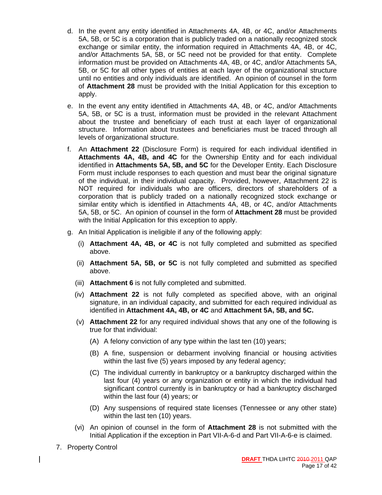- d. In the event any entity identified in Attachments 4A, 4B, or 4C, and/or Attachments 5A, 5B, or 5C is a corporation that is publicly traded on a nationally recognized stock exchange or similar entity, the information required in Attachments 4A, 4B, or 4C, and/or Attachments 5A, 5B, or 5C need not be provided for that entity. Complete information must be provided on Attachments 4A, 4B, or 4C, and/or Attachments 5A, 5B, or 5C for all other types of entities at each layer of the organizational structure until no entities and only individuals are identified. An opinion of counsel in the form of **Attachment 28** must be provided with the Initial Application for this exception to apply.
- e. In the event any entity identified in Attachments 4A, 4B, or 4C, and/or Attachments 5A, 5B, or 5C is a trust, information must be provided in the relevant Attachment about the trustee and beneficiary of each trust at each layer of organizational structure. Information about trustees and beneficiaries must be traced through all levels of organizational structure.
- f. An **Attachment 22** (Disclosure Form) is required for each individual identified in **Attachments 4A, 4B, and 4C** for the Ownership Entity and for each individual identified in **Attachments 5A, 5B, and 5C** for the Developer Entity. Each Disclosure Form must include responses to each question and must bear the original signature of the individual, in their individual capacity. Provided, however, Attachment 22 is NOT required for individuals who are officers, directors of shareholders of a corporation that is publicly traded on a nationally recognized stock exchange or similar entity which is identified in Attachments 4A, 4B, or 4C, and/or Attachments 5A, 5B, or 5C. An opinion of counsel in the form of **Attachment 28** must be provided with the Initial Application for this exception to apply.
- g. An Initial Application is ineligible if any of the following apply:
	- (i) **Attachment 4A, 4B, or 4C** is not fully completed and submitted as specified above.
	- (ii) **Attachment 5A, 5B, or 5C** is not fully completed and submitted as specified above.
	- (iii) **Attachment 6** is not fully completed and submitted.
	- (iv) **Attachment 22** is not fully completed as specified above, with an original signature, in an individual capacity, and submitted for each required individual as identified in **Attachment 4A, 4B, or 4C** and **Attachment 5A, 5B, and 5C.**
	- (v) **Attachment 22** for any required individual shows that any one of the following is true for that individual:
		- (A) A felony conviction of any type within the last ten (10) years;
		- (B) A fine, suspension or debarment involving financial or housing activities within the last five (5) years imposed by any federal agency;
		- (C) The individual currently in bankruptcy or a bankruptcy discharged within the last four (4) years or any organization or entity in which the individual had significant control currently is in bankruptcy or had a bankruptcy discharged within the last four (4) years; or
		- (D) Any suspensions of required state licenses (Tennessee or any other state) within the last ten (10) years.
	- (vi) An opinion of counsel in the form of **Attachment 28** is not submitted with the Initial Application if the exception in Part VII-A-6-d and Part VII-A-6-e is claimed.
- 7. Property Control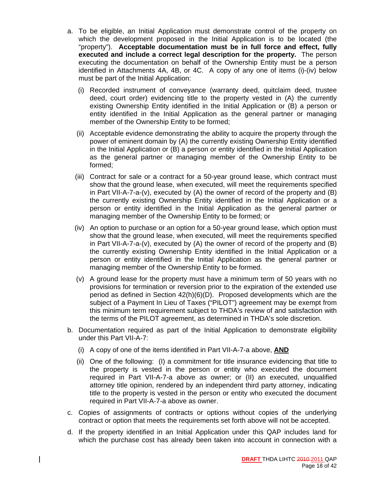- a. To be eligible, an Initial Application must demonstrate control of the property on which the development proposed in the Initial Application is to be located (the "property"). **Acceptable documentation must be in full force and effect, fully executed and include a correct legal description for the property.** The person executing the documentation on behalf of the Ownership Entity must be a person identified in Attachments 4A, 4B, or 4C. A copy of any one of items (i)-(iv) below must be part of the Initial Application:
	- (i) Recorded instrument of conveyance (warranty deed, quitclaim deed, trustee deed, court order) evidencing title to the property vested in (A) the currently existing Ownership Entity identified in the Initial Application or (B) a person or entity identified in the Initial Application as the general partner or managing member of the Ownership Entity to be formed;
	- (ii) Acceptable evidence demonstrating the ability to acquire the property through the power of eminent domain by (A) the currently existing Ownership Entity identified in the Initial Application or (B) a person or entity identified in the Initial Application as the general partner or managing member of the Ownership Entity to be formed;
	- (iii) Contract for sale or a contract for a 50-year ground lease, which contract must show that the ground lease, when executed, will meet the requirements specified in Part VII-A-7-a-(v), executed by (A) the owner of record of the property and (B) the currently existing Ownership Entity identified in the Initial Application or a person or entity identified in the Initial Application as the general partner or managing member of the Ownership Entity to be formed; or
	- (iv) An option to purchase or an option for a 50-year ground lease, which option must show that the ground lease, when executed, will meet the requirements specified in Part VII-A-7-a-(v), executed by (A) the owner of record of the property and (B) the currently existing Ownership Entity identified in the Initial Application or a person or entity identified in the Initial Application as the general partner or managing member of the Ownership Entity to be formed.
	- (v) A ground lease for the property must have a minimum term of 50 years with no provisions for termination or reversion prior to the expiration of the extended use period as defined in Section 42(h)(6)(D). Proposed developments which are the subject of a Payment In Lieu of Taxes ("PILOT") agreement may be exempt from this minimum term requirement subject to THDA's review of and satisfaction with the terms of the PILOT agreement, as determined in THDA's sole discretion.
- b. Documentation required as part of the Initial Application to demonstrate eligibility under this Part VII-A-7:
	- (i) A copy of one of the items identified in Part VII-A-7-a above, **AND**
	- (ii) One of the following: (I) a commitment for title insurance evidencing that title to the property is vested in the person or entity who executed the document required in Part VII-A-7-a above as owner; or (II) an executed, unqualified attorney title opinion, rendered by an independent third party attorney, indicating title to the property is vested in the person or entity who executed the document required in Part VII-A-7-a above as owner.
- c. Copies of assignments of contracts or options without copies of the underlying contract or option that meets the requirements set forth above will not be accepted.
- d. If the property identified in an Initial Application under this QAP includes land for which the purchase cost has already been taken into account in connection with a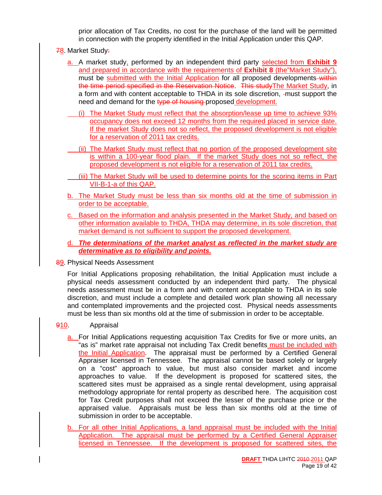prior allocation of Tax Credits, no cost for the purchase of the land will be permitted in connection with the property identified in the Initial Application under this QAP.

- 78. Market Study:
	- a. A market study, performed by an independent third party selected from **Exhibit 9** and prepared in accordance with the requirements of **Exhibit 8** (the"Market Study"), must be submitted with the Initial Application for all proposed developments-within the time period specified in the Reservation Notice. This studyThe Market Study, in a form and with content acceptable to THDA in its sole discretion, -must support the need and demand for the type of housing proposed development.
	- (i) The Market Study must reflect that the absorption/lease up time to achieve 93% occupancy does not exceed 12 months from the required placed in service date. If the market Study does not so reflect, the proposed development is not eligible for a reservation of 2011 tax credits.
		- (ii) The Market Study must reflect that no portion of the proposed development site is within a 100-year flood plain. If the market Study does not so reflect, the proposed development is not eligible for a reservation of 2011 tax credits.
	- (iii) The Market Study will be used to determine points for the scoring items in Part VII-B-1-a of this QAP.
	- b. The Market Study must be less than six months old at the time of submission in order to be acceptable.
	- c. Based on the information and analysis presented in the Market Study, and based on other information available to THDA, THDA may determine, in its sole discretion, that market demand is not sufficient to support the proposed development.
	- d. *The determinations of the market analyst as reflected in the market study are determinative as to eligibility and points.*
- 89. Physical Needs Assessment

For Initial Applications proposing rehabilitation, the Initial Application must include a physical needs assessment conducted by an independent third party. The physical needs assessment must be in a form and with content acceptable to THDA in its sole discretion, and must include a complete and detailed work plan showing all necessary and contemplated improvements and the projected cost. Physical needs assessments must be less than six months old at the time of submission in order to be acceptable.

#### 910. Appraisal

- a. For Initial Applications requesting acquisition Tax Credits for five or more units, an "as is" market rate appraisal not including Tax Credit benefits must be included with the Initial Application. The appraisal must be performed by a Certified General Appraiser licensed in Tennessee. The appraisal cannot be based solely or largely on a "cost" approach to value, but must also consider market and income approaches to value. If the development is proposed for scattered sites, the scattered sites must be appraised as a single rental development, using appraisal methodology appropriate for rental property as described here. The acquisition cost for Tax Credit purposes shall not exceed the lesser of the purchase price or the appraised value. Appraisals must be less than six months old at the time of submission in order to be acceptable.
- b. For all other Initial Applications, a land appraisal must be included with the Initial Application. The appraisal must be performed by a Certified General Appraiser licensed in Tennessee. If the development is proposed for scattered sites, the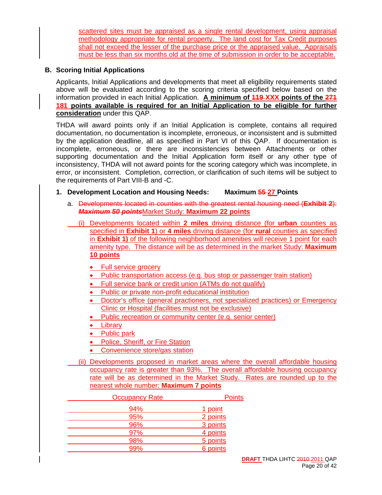scattered sites must be appraised as a single rental development, using appraisal methodology appropriate for rental property. The land cost for Tax Credit purposes shall not exceed the lesser of the purchase price or the appraised value. Appraisals must be less than six months old at the time of submission in order to be acceptable.

#### **B. Scoring Initial Applications**

Applicants, Initial Applications and developments that meet all eligibility requirements stated above will be evaluated according to the scoring criteria specified below based on the information provided in each Initial Application. **A minimum of 119 XXX points of the 271 181 points available is required for an Initial Application to be eligible for further consideration** under this QAP.

THDA will award points only if an Initial Application is complete, contains all required documentation, no documentation is incomplete, erroneous, or inconsistent and is submitted by the application deadline, all as specified in Part VI of this QAP. If documentation is incomplete, erroneous, or there are inconsistencies between Attachments or other supporting documentation and the Initial Application form itself or any other type of inconsistency, THDA will not award points for the scoring category which was incomplete, in error, or inconsistent. Completion, correction, or clarification of such items will be subject to the requirements of Part VIII-B and -C.

#### **1. Development Location and Housing Needs: Maximum 55 27 Points**

- a. Developments located in counties with the greatest rental housing need (**Exhibit 2**): *Maximum 50 points*Market Study: **Maximum 22 points**
	- (i) Developments located within **2 miles** driving distance (for **urban** counties as specified in **Exhibit 1**) or **4 miles** driving distance (for **rural** counties as specified in **Exhibit 1)** of the following neighborhood amenities will receive 1 point for each amenity type. The distance will be as determined in the market Study: **Maximum 10 points**
		- Full service grocery
		- Public transportation access (e.g. bus stop or passenger train station)
		- Full service bank or credit union (ATMs do not qualify)
		- Public or private non-profit educational institution
		- Doctor's office (general practioners, not specialized practices) or Emergency Clinic or Hospital (facilities must not be exclusive)
		- Public recreation or community center (e.g. senior center)
		- Library
		- Public park
		- Police, Sheriff, or Fire Station
		- Convenience store/gas station
- (ii) Developments proposed in market areas where the overall affordable housing occupancy rate is greater than 93%. The overall affordable housing occupancy rate will be as determined in the Market Study. Rates are rounded up to the nearest whole number: **Maximum 7 points**

| <b>Occupancy Rate</b> | <b>Points</b> |
|-----------------------|---------------|
| 94%                   | 1 point       |
| 95%                   | 2 points      |
| 96%                   | 3 points      |
| 97%                   | 4 points      |
| 98%                   | 5 points      |
| 99%                   | 6 points      |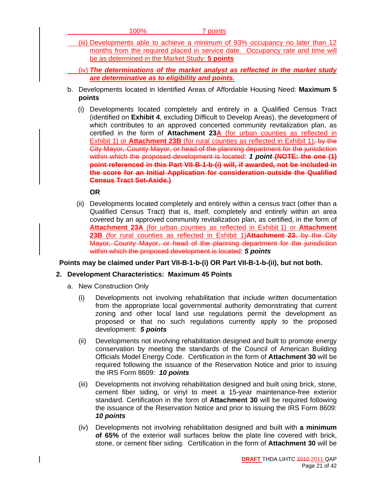|    | 100%<br>7 points                                                                                                                                                                                                                                                                                                                                                                                                                                                                                                                                                                                                                                                                                                                                                                                                |
|----|-----------------------------------------------------------------------------------------------------------------------------------------------------------------------------------------------------------------------------------------------------------------------------------------------------------------------------------------------------------------------------------------------------------------------------------------------------------------------------------------------------------------------------------------------------------------------------------------------------------------------------------------------------------------------------------------------------------------------------------------------------------------------------------------------------------------|
|    | (iii) Developments able to achieve a minimum of 93% occupancy no later than 12<br>months from the required placed in service date. Occupancy rate and time will<br>be as determined in the Market Study: 5 points                                                                                                                                                                                                                                                                                                                                                                                                                                                                                                                                                                                               |
|    | $(iv)$ The determinations of the market analyst as reflected in the market study                                                                                                                                                                                                                                                                                                                                                                                                                                                                                                                                                                                                                                                                                                                                |
|    | are determinative as to eligibility and points.                                                                                                                                                                                                                                                                                                                                                                                                                                                                                                                                                                                                                                                                                                                                                                 |
| b. | Developments located in Identified Areas of Affordable Housing Need: Maximum 5<br>points                                                                                                                                                                                                                                                                                                                                                                                                                                                                                                                                                                                                                                                                                                                        |
|    | Developments located completely and entirely in a Qualified Census Tract<br>(i)<br>(identified on Exhibit 4, excluding Difficult to Develop Areas), the development of<br>which contributes to an approved concerted community revitalization plan, as<br>certified in the form of Attachment 23A (for urban counties as reflected in<br>Exhibit 1) or <b>Attachment 23B</b> (for rural counties as reflected in Exhibit 1), by the<br>City Mayor, County Mayor, or head of the planning department for the jurisdiction<br>within which the proposed development is located: 1 point (NOTE: the one (1)<br>point referenced in this Part VII-B-1-b-(i) will, if awarded, not be included in<br>the score for an Initial Application for consideration outside the Qualified<br><b>Census Tract Set-Aside.)</b> |
|    | <b>OR</b>                                                                                                                                                                                                                                                                                                                                                                                                                                                                                                                                                                                                                                                                                                                                                                                                       |

 (ii) Developments located completely and entirely within a census tract (other than a Qualified Census Tract) that is, itself, completely and entirely within an area covered by an approved community revitalization plan, as certified, in the form of **Attachment 23A** (for urban counties as reflected in Exhibit 1) or **Attachment 23B** (for rural counties as reflected in Exhibit 1)**Attachment 23**, by the City Mayor, County Mayor, or head of the planning department for the jurisdiction within which the proposed development is located: *5 points* 

#### **Points may be claimed under Part VII-B-1-b-(i) OR Part VII-B-1-b-(ii), but not both.**

#### **2. Development Characteristics: Maximum 45 Points**

- a. New Construction Only
	- (i) Developments not involving rehabilitation that include written documentation from the appropriate local governmental authority demonstrating that current zoning and other local land use regulations permit the development as proposed or that no such regulations currently apply to the proposed development: *5 points*
	- (ii) Developments not involving rehabilitation designed and built to promote energy conservation by meeting the standards of the Council of American Building Officials Model Energy Code. Certification in the form of **Attachment 30** will be required following the issuance of the Reservation Notice and prior to issuing the IRS Form 8609: *10 points*
	- (iii) Developments not involving rehabilitation designed and built using brick, stone, cement fiber siding, or vinyl to meet a 15-year maintenance-free exterior standard. Certification in the form of **Attachment 30** will be required following the issuance of the Reservation Notice and prior to issuing the IRS Form 8609: *10 points*
	- (iv) Developments not involving rehabilitation designed and built with **a minimum of 65%** of the exterior wall surfaces below the plate line covered with brick, stone, or cement fiber siding. Certification in the form of **Attachment 30** will be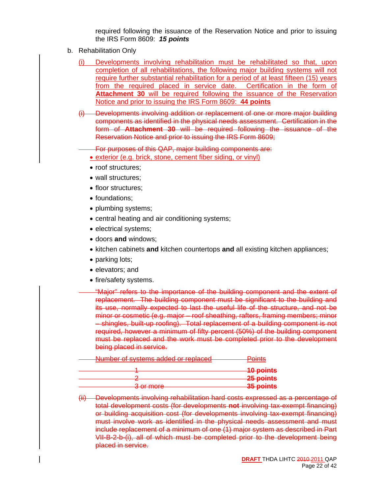required following the issuance of the Reservation Notice and prior to issuing the IRS Form 8609: *15 points*

- b. Rehabilitation Only
	- Developments involving rehabilitation must be rehabilitated so that, upon completion of all rehabilitations, the following major building systems will not require further substantial rehabilitation for a period of at least fifteen (15) years from the required placed in service date. Certification in the form of **Attachment 30** will be required following the issuance of the Reservation Notice and prior to issuing the IRS Form 8609: **44 points**
	- (i) Developments involving addition or replacement of one or more major building components as identified in the physical needs assessment. Certification in the form of **Attachment 30** will be required following the issuance of the Reservation Notice and prior to issuing the IRS Form 8609;

For purposes of this QAP, major building components are:

- exterior (e.g. brick, stone, cement fiber siding, or vinyl)
- roof structures;
- wall structures;
- floor structures:
- foundations;
- plumbing systems;
- central heating and air conditioning systems;
- electrical systems;
- doors **and** windows;
- kitchen cabinets **and** kitchen countertops **and** all existing kitchen appliances;
- parking lots;
- elevators; and
- fire/safety systems.

"Major" refers to the importance of the building component and the extent of replacement. The building component must be significant to the building and its use, normally expected to last the useful life of the structure, and not be minor or cosmetic (e.g. major – roof sheathing, rafters, framing members; minor – shingles, built-up roofing). Total replacement of a building component is not required, however a minimum of fifty percent (50%) of the building component must be replaced and the work must be completed prior to the development being placed in service.

| Number of systems added or replaced<br><del>rumber or systems auueu or replaceu</del> | $\overline{\phantom{a}}$          |
|---------------------------------------------------------------------------------------|-----------------------------------|
|                                                                                       | <b>10 points</b>                  |
|                                                                                       | 25 points                         |
| 3 or moro<br><del>o or moro</del>                                                     | 25 nointe<br><del>oo pomito</del> |

<sup>(</sup>ii) Developments involving rehabilitation hard costs expressed as a percentage of total development costs (for developments **not** involving tax-exempt financing) or building acquisition cost (for developments involving tax-exempt financing) must involve work as identified in the physical needs assessment and must include replacement of a minimum of one (1) major system as described in Part VII-B-2-b-(i), all of which must be completed prior to the development being placed in service.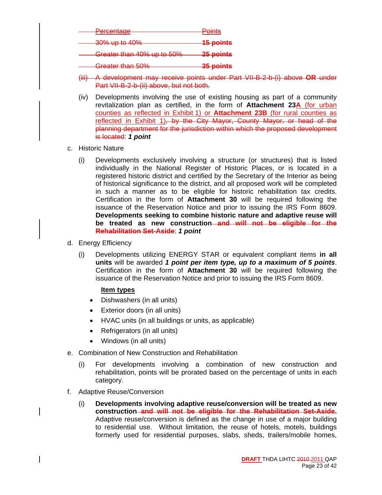| <b>Dercentage</b><br><del>i oroomaao</del>               | Points           |
|----------------------------------------------------------|------------------|
| 30% up to 40%                                            | <b>15 points</b> |
| Greater than 40% up to 50%                               | 25 points        |
| Crostor than 50%<br><del>orcatch than ou <i>r</i>o</del> | 35 points        |

- (iii) A development may receive points under Part VII-B-2-b-(i) above **OR** under Part VII-B-2-b-(ii) above, but not both.
- (iv) Developments involving the use of existing housing as part of a community revitalization plan as certified, in the form of **Attachment 23A** (for urban counties as reflected in Exhibit 1) or **Attachment 23B** (for rural counties as reflected in Exhibit 1), by the City Mayor, County Mayor, or head of the planning department for the jurisdiction within which the proposed development is located: *1 point*
- c. Historic Nature
	- (i) Developments exclusively involving a structure (or structures) that is listed individually in the National Register of Historic Places, or is located in a registered historic district and certified by the Secretary of the Interior as being of historical significance to the district, and all proposed work will be completed in such a manner as to be eligible for historic rehabilitation tax credits. Certification in the form of **Attachment 30** will be required following the issuance of the Reservation Notice and prior to issuing the IRS Form 8609. **Developments seeking to combine historic nature and adaptive reuse will be treated as new construction and will not be eligible for the Rehabilitation Set-Aside**: *1 point*
- d. Energy Efficiency
	- (i) Developments utilizing ENERGY STAR or equivalent compliant items **in all units** will be awarded *1 point per item type, up to a maximum of 5 points*. Certification in the form of **Attachment 30** will be required following the issuance of the Reservation Notice and prior to issuing the IRS Form 8609.

#### **Item types**

- Dishwashers (in all units)
- Exterior doors (in all units)
- HVAC units (in all buildings or units, as applicable)
- Refrigerators (in all units)
- Windows (in all units)
- e. Combination of New Construction and Rehabilitation
	- (i) For developments involving a combination of new construction and rehabilitation, points will be prorated based on the percentage of units in each category.
- f. Adaptive Reuse/Conversion
	- (i) **Developments involving adaptive reuse/conversion will be treated as new construction and will not be eligible for the Rehabilitation Set-Aside.** Adaptive reuse/conversion is defined as the change in use of a major building to residential use. Without limitation, the reuse of hotels, motels, buildings formerly used for residential purposes, slabs, sheds, trailers/mobile homes,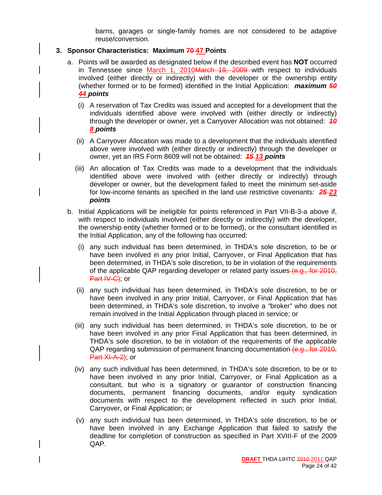barns, garages or single-family homes are not considered to be adaptive reuse/conversion.

#### **3. Sponsor Characteristics: Maximum 70 47 Points**

- a. Points will be awarded as designated below if the described event has **NOT** occurred in Tennessee since March 1, 2010March 19, 2009 with respect to individuals involved (either directly or indirectly) with the developer or the ownership entity (whether formed or to be formed) identified in the Initial Application: *maximum 50 44 points*
	- (i) A reservation of Tax Credits was issued and accepted for a development that the individuals identified above were involved with (either directly or indirectly) through the developer or owner, yet a Carryover Allocation was not obtained: *10 8 points*
	- (ii) A Carryover Allocation was made to a development that the individuals identified above were involved with (either directly or indirectly) through the developer or owner, yet an IRS Form 8609 will not be obtained: *15 13 points*
	- (iii) An allocation of Tax Credits was made to a development that the individuals identified above were involved with (either directly or indirectly) through developer or owner, but the development failed to meet the minimum set-aside for low-income tenants as specified in the land use restrictive covenants: *25 23 points*
- b. Initial Applications will be ineligible for points referenced in Part VII-B-3-a above if, with respect to individuals involved (either directly or indirectly) with the developer, the ownership entity (whether formed or to be formed), or the consultant identified in the Initial Application, any of the following has occurred:
	- (i) any such individual has been determined, in THDA's sole discretion, to be or have been involved in any prior Initial, Carryover, or Final Application that has been determined, in THDA's sole discretion, to be in violation of the requirements of the applicable QAP regarding developer or related party issues (e.g., for 2010, Part IV-C); or
	- (ii) any such individual has been determined, in THDA's sole discretion, to be or have been involved in any prior Initial, Carryover, or Final Application that has been determined, in THDA's sole discretion, to involve a "broker" who does not remain involved in the Initial Application through placed in service; or
	- (iii) any such individual has been determined, in THDA's sole discretion, to be or have been involved in any prior Final Application that has been determined, in THDA's sole discretion, to be in violation of the requirements of the applicable QAP regarding submission of permanent financing documentation (e.g., for 2010, Part XI-A-2); or
	- (iv) any such individual has been determined, in THDA's sole discretion, to be or to have been involved in any prior Initial, Carryover, or Final Application as a consultant, but who is a signatory or guarantor of construction financing documents, permanent financing documents, and/or equity syndication documents with respect to the development reflected in such prior Initial, Carryover, or Final Application; or
	- (v) any such individual has been determined, in THDA's sole discretion, to be or have been involved in any Exchange Application that failed to satisfy the deadline for completion of construction as specified in Part XVIII-F of the 2009 QAP.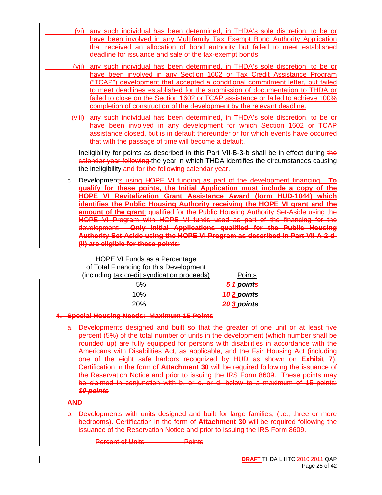- (vi) any such individual has been determined, in THDA's sole discretion, to be or have been involved in any Multifamily Tax Exempt Bond Authority Application that received an allocation of bond authority but failed to meet established deadline for issuance and sale of the tax-exempt bonds.
- (vii) any such individual has been determined, in THDA's sole discretion, to be or have been involved in any Section 1602 or Tax Credit Assistance Program ("TCAP") development that accepted a conditional commitment letter, but failed to meet deadlines established for the submission of documentation to THDA or failed to close on the Section 1602 or TCAP assistance or failed to achieve 100% completion of construction of the development by the relevant deadline.
- (viii) any such individual has been determined, in THDA's sole discretion, to be or have been involved in any development for which Section 1602 or TCAP assistance closed, but is in default thereunder or for which events have occurred that with the passage of time will become a default.

Ineligibility for points as described in this Part VII-B-3-b shall be in effect during the calendar year following the year in which THDA identifies the circumstances causing the ineligibility and for the following calendar year.

c. Developments using HOPE VI funding as part of the development financing. **To qualify for these points, the Initial Application must include a copy of the HOPE VI Revitalization Grant Assistance Award (form HUD-1044) which identifies the Public Housing Authority receiving the HOPE VI grant and the amount of the grant: qualified for the Public Housing Authority Set-Aside using the** HOPE VI Program with HOPE VI funds used as part of the financing for the development: **Only Initial Applications qualified for the Public Housing Authority Set-Aside using the HOPE VI Program as described in Part VII-A-2-d- (ii) are eligible for these points**:

 HOPE VI Funds as a Percentage of Total Financing for this Development (including tax credit syndication proceeds) Points 5% *5 1 points* 10% *10 2 points* 20% *20 3 points*

#### **4. Special Housing Needs: Maximum 15 Points**

a. Developments designed and built so that the greater of one unit or at least five percent (5%) of the total number of units in the development (which number shall be rounded up) are fully equipped for persons with disabilities in accordance with the Americans with Disabilities Act, as applicable, and the Fair Housing Act (including one of the eight safe harbors recognized by HUD as shown on **Exhibit 7**). Certification in the form of **Attachment 30** will be required following the issuance of the Reservation Notice and prior to issuing the IRS Form 8609. These points may be claimed in conjunction with b. or c. or d. below to a maximum of 15 points: *10 points*

#### **AND**

b. Developments with units designed and built for large families, (i.e., three or more bedrooms). Certification in the form of **Attachment 30** will be required following the issuance of the Reservation Notice and prior to issuing the IRS Form 8609.

Percent of Units **Percent of Units**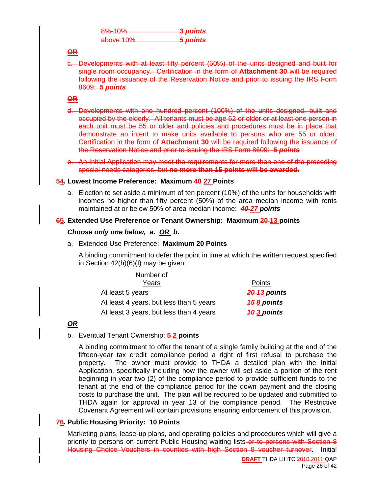| $Q_0/100/$<br><del>,,,,,,,,,,</del> | 3 points |
|-------------------------------------|----------|
| above 10%                           | 5 points |

#### **OR**

c. Developments with at least fifty percent (50%) of the units designed and built for single room occupancy. Certification in the form of **Attachment 30** will be required following the issuance of the Reservation Notice and prior to issuing the IRS Form 8609: *5 points*

#### **OR**

- d. Developments with one hundred percent (100%) of the units designed, built and occupied by the elderly. All tenants must be age 62 or older or at least one person in each unit must be 55 or older and policies and procedures must be in place that demonstrate an intent to make units available to persons who are 55 or older. Certification in the form of **Attachment 30** will be required following the issuance of the Reservation Notice and prior to issuing the IRS Form 8609: *5 points*
- e. An Initial Application may meet the requirements for more than one of the preceding special needs categories, but **no more than 15 points will be awarded.**

#### **54. Lowest Income Preference: Maximum 40 27 Points**

a. Election to set aside a minimum of ten percent (10%) of the units for households with incomes no higher than fifty percent (50%) of the area median income with rents maintained at or below 50% of area median income: *40 27 points*

#### **65. Extended Use Preference or Tenant Ownership: Maximum 20-13 points**

#### *Choose only one below, a. OR b.*

a. Extended Use Preference: **Maximum 20 Points**

A binding commitment to defer the point in time at which the written request specified in Section 42(h)(6)(I) may be given:

| Number of                               |                    |
|-----------------------------------------|--------------------|
| Years                                   | Points             |
| At least 5 years                        | 20-13 points       |
| At least 4 years, but less than 5 years | <b>45-8 points</b> |
| At least 3 years, but less than 4 years | 40-3 points        |

#### *OR*

#### b. Eventual Tenant Ownership: **5 2 points**

A binding commitment to offer the tenant of a single family building at the end of the fifteen-year tax credit compliance period a right of first refusal to purchase the property. The owner must provide to THDA a detailed plan with the Initial Application, specifically including how the owner will set aside a portion of the rent beginning in year two (2) of the compliance period to provide sufficient funds to the tenant at the end of the compliance period for the down payment and the closing costs to purchase the unit. The plan will be required to be updated and submitted to THDA again for approval in year 13 of the compliance period. The Restrictive Covenant Agreement will contain provisions ensuring enforcement of this provision.

#### **76. Public Housing Priority: 10 Points**

Marketing plans, lease-up plans, and operating policies and procedures which will give a priority to persons on current Public Housing waiting lists-or to persons with Section 8 Housing Choice Vouchers in counties with high Section 8 voucher turnover. Initial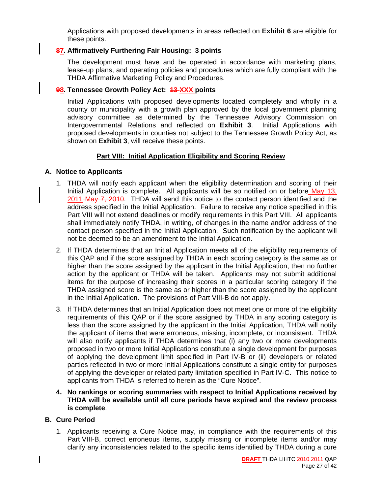Applications with proposed developments in areas reflected on **Exhibit 6** are eligible for these points.

#### **87. Affirmatively Furthering Fair Housing: 3 points**

The development must have and be operated in accordance with marketing plans, lease-up plans, and operating policies and procedures which are fully compliant with the THDA Affirmative Marketing Policy and Procedures.

#### **98. Tennessee Growth Policy Act: 13 XXX points**

Initial Applications with proposed developments located completely and wholly in a county or municipality with a growth plan approved by the local government planning advisory committee as determined by the Tennessee Advisory Commission on Intergovernmental Relations and reflected on **Exhibit 3**. Initial Applications with proposed developments in counties not subject to the Tennessee Growth Policy Act, as shown on **Exhibit 3**, will receive these points.

#### **Part VIII: Initial Application Eligibility and Scoring Review**

#### **A. Notice to Applicants**

- 1. THDA will notify each applicant when the eligibility determination and scoring of their Initial Application is complete. All applicants will be so notified on or before May 13, 2011 May 7, 2010. THDA will send this notice to the contact person identified and the address specified in the Initial Application. Failure to receive any notice specified in this Part VIII will not extend deadlines or modify requirements in this Part VIII. All applicants shall immediately notify THDA, in writing, of changes in the name and/or address of the contact person specified in the Initial Application. Such notification by the applicant will not be deemed to be an amendment to the Initial Application.
- 2. If THDA determines that an Initial Application meets all of the eligibility requirements of this QAP and if the score assigned by THDA in each scoring category is the same as or higher than the score assigned by the applicant in the Initial Application, then no further action by the applicant or THDA will be taken. Applicants may not submit additional items for the purpose of increasing their scores in a particular scoring category if the THDA assigned score is the same as or higher than the score assigned by the applicant in the Initial Application. The provisions of Part VIII-B do not apply.
- 3. If THDA determines that an Initial Application does not meet one or more of the eligibility requirements of this QAP or if the score assigned by THDA in any scoring category is less than the score assigned by the applicant in the Initial Application, THDA will notify the applicant of items that were erroneous, missing, incomplete, or inconsistent. THDA will also notify applicants if THDA determines that (i) any two or more developments proposed in two or more Initial Applications constitute a single development for purposes of applying the development limit specified in Part IV-B or (ii) developers or related parties reflected in two or more Initial Applications constitute a single entity for purposes of applying the developer or related party limitation specified in Part IV-C. This notice to applicants from THDA is referred to herein as the "Cure Notice".
- **4. No rankings or scoring summaries with respect to Initial Applications received by THDA will be available until all cure periods have expired and the review process is complete**.

#### **B. Cure Period**

1. Applicants receiving a Cure Notice may, in compliance with the requirements of this Part VIII-B, correct erroneous items, supply missing or incomplete items and/or may clarify any inconsistencies related to the specific items identified by THDA during a cure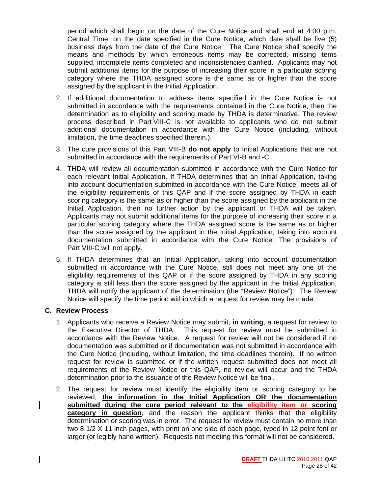period which shall begin on the date of the Cure Notice and shall end at 4:00 p.m. Central Time, on the date specified in the Cure Notice, which date shall be five (5) business days from the date of the Cure Notice. The Cure Notice shall specify the means and methods by which erroneous items may be corrected, missing items supplied, incomplete items completed and inconsistencies clarified. Applicants may not submit additional items for the purpose of increasing their score in a particular scoring category where the THDA assigned score is the same as or higher than the score assigned by the applicant in the Initial Application.

- 2. If additional documentation to address items specified in the Cure Notice is not submitted in accordance with the requirements contained in the Cure Notice, then the determination as to eligibility and scoring made by THDA is determinative. The review process described in Part VIII-C is not available to applicants who do not submit additional documentation in accordance with the Cure Notice (including, without limitation, the time deadlines specified therein.).
- 3. The cure provisions of this Part VIII-B **do not apply** to Initial Applications that are not submitted in accordance with the requirements of Part VI-B and -C.
- 4. THDA will review all documentation submitted in accordance with the Cure Notice for each relevant Initial Application. If THDA determines that an Initial Application, taking into account documentation submitted in accordance with the Cure Notice, meets all of the eligibility requirements of this QAP and if the score assigned by THDA in each scoring category is the same as or higher than the score assigned by the applicant in the Initial Application, then no further action by the applicant or THDA will be taken. Applicants may not submit additional items for the purpose of increasing their score in a particular scoring category where the THDA assigned score is the same as or higher than the score assigned by the applicant in the Initial Application, taking into account documentation submitted in accordance with the Cure Notice. The provisions of Part VIII-C will not apply.
- 5. If THDA determines that an Initial Application, taking into account documentation submitted in accordance with the Cure Notice, still does not meet any one of the eligibility requirements of this QAP or if the score assigned by THDA in any scoring category is still less than the score assigned by the applicant in the Initial Application, THDA will notify the applicant of the determination (the "Review Notice"). The Review Notice will specify the time period within which a request for review may be made.

#### **C. Review Process**

- 1. Applicants who receive a Review Notice may submit, **in writing**, a request for review to the Executive Director of THDA. This request for review must be submitted in accordance with the Review Notice. A request for review will not be considered if no documentation was submitted or if documentation was not submitted in accordance with the Cure Notice (including, without limitation, the time deadlines therein). If no written request for review is submitted or if the written request submitted does not meet all requirements of the Review Notice or this QAP, no review will occur and the THDA determination prior to the issuance of the Review Notice will be final.
- 2. The request for review must identify the eligibility item or scoring category to be reviewed, **the information in the Initial Application OR the documentation submitted during the cure period relevant to the eligibility item or scoring category in question**, and the reason the applicant thinks that the eligibility determination or scoring was in error. The request for review must contain no more than two 8 1/2 X 11 inch pages, with print on one side of each page, typed in 12 point font or larger (or legibly hand written). Requests not meeting this format will not be considered.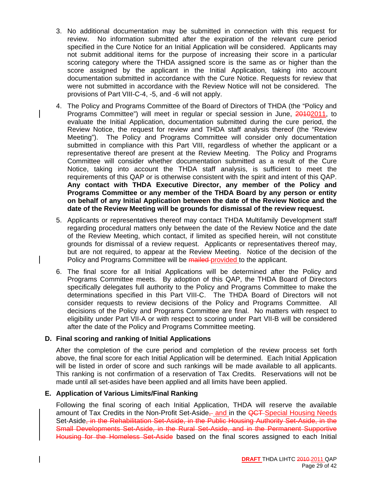- 3. No additional documentation may be submitted in connection with this request for review. No information submitted after the expiration of the relevant cure period specified in the Cure Notice for an Initial Application will be considered. Applicants may not submit additional items for the purpose of increasing their score in a particular scoring category where the THDA assigned score is the same as or higher than the score assigned by the applicant in the Initial Application, taking into account documentation submitted in accordance with the Cure Notice. Requests for review that were not submitted in accordance with the Review Notice will not be considered. The provisions of Part VIII-C-4, -5, and -6 will not apply.
- 4. The Policy and Programs Committee of the Board of Directors of THDA (the "Policy and Programs Committee") will meet in regular or special session in June, 20102011, to evaluate the Initial Application, documentation submitted during the cure period, the Review Notice, the request for review and THDA staff analysis thereof (the "Review Meeting"). The Policy and Programs Committee will consider only documentation submitted in compliance with this Part VIII, regardless of whether the applicant or a representative thereof are present at the Review Meeting. The Policy and Programs Committee will consider whether documentation submitted as a result of the Cure Notice, taking into account the THDA staff analysis, is sufficient to meet the requirements of this QAP or is otherwise consistent with the spirit and intent of this QAP. **Any contact with THDA Executive Director, any member of the Policy and Programs Committee or any member of the THDA Board by any person or entity on behalf of any Initial Application between the date of the Review Notice and the date of the Review Meeting will be grounds for dismissal of the review request.**
- 5. Applicants or representatives thereof may contact THDA Multifamily Development staff regarding procedural matters only between the date of the Review Notice and the date of the Review Meeting, which contact, if limited as specified herein, will not constitute grounds for dismissal of a review request. Applicants or representatives thereof may, but are not required, to appear at the Review Meeting. Notice of the decision of the Policy and Programs Committee will be mailed provided to the applicant.
- 6. The final score for all Initial Applications will be determined after the Policy and Programs Committee meets. By adoption of this QAP, the THDA Board of Directors specifically delegates full authority to the Policy and Programs Committee to make the determinations specified in this Part VIII-C. The THDA Board of Directors will not consider requests to review decisions of the Policy and Programs Committee. All decisions of the Policy and Programs Committee are final. No matters with respect to eligibility under Part VII-A or with respect to scoring under Part VII-B will be considered after the date of the Policy and Programs Committee meeting.

#### **D. Final scoring and ranking of Initial Applications**

After the completion of the cure period and completion of the review process set forth above, the final score for each Initial Application will be determined. Each Initial Application will be listed in order of score and such rankings will be made available to all applicants. This ranking is not confirmation of a reservation of Tax Credits. Reservations will not be made until all set-asides have been applied and all limits have been applied.

#### **E. Application of Various Limits/Final Ranking**

Following the final scoring of each Initial Application, THDA will reserve the available amount of Tax Credits in the Non-Profit Set-Aside<sub> $\pm$ </sub> and in the QCT-Special Housing Needs Set-Aside, in the Rehabilitation Set-Aside, in the Public Housing Authority Set-Aside, in the Small Developments Set-Aside, in the Rural Set-Aside, and in the Permanent Supportive Housing for the Homeless Set-Aside based on the final scores assigned to each Initial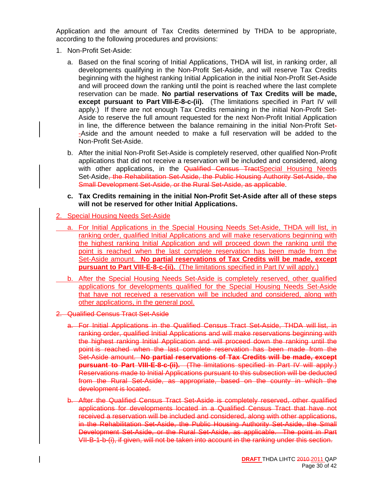Application and the amount of Tax Credits determined by THDA to be appropriate, according to the following procedures and provisions:

- 1. Non-Profit Set-Aside:
	- a. Based on the final scoring of Initial Applications, THDA will list, in ranking order, all developments qualifying in the Non-Profit Set-Aside, and will reserve Tax Credits beginning with the highest ranking Initial Application in the initial Non-Profit Set-Aside and will proceed down the ranking until the point is reached where the last complete reservation can be made. **No partial reservations of Tax Credits will be made, except pursuant to Part VIII-E-8-c-(ii).** (The limitations specified in Part IV will apply.) If there are not enough Tax Credits remaining in the initial Non-Profit Set-Aside to reserve the full amount requested for the next Non-Profit Initial Application in line, the difference between the balance remaining in the initial Non-Profit Set- -Aside and the amount needed to make a full reservation will be added to the Non-Profit Set-Aside.
	- b. After the initial Non-Profit Set-Aside is completely reserved, other qualified Non-Profit applications that did not receive a reservation will be included and considered, along with other applications, in the Qualified Census TractSpecial Housing Needs Set-Aside, the Rehabilitation Set-Aside, the Public Housing Authority Set-Aside, the Small Development Set-Aside, or the Rural Set-Aside, as applicable.
	- **c. Tax Credits remaining in the initial Non-Profit Set-Aside after all of these steps will not be reserved for other Initial Applications.**
- 2. Special Housing Needs Set-Aside
- a. For Initial Applications in the Special Housing Needs Set-Aside, THDA will list, in ranking order, qualified Initial Applications and will make reservations beginning with the highest ranking Initial Application and will proceed down the ranking until the point is reached when the last complete reservation has been made from the Set-Aside amount. **No partial reservations of Tax Credits will be made, except pursuant to Part VIII-E-8-c-(ii).** (The limitations specified in Part IV will apply.)
- b. After the Special Housing Needs Set-Aside is completely reserved, other qualified applications for developments qualified for the Special Housing Needs Set-Aside that have not received a reservation will be included and considered, along with other applications, in the general pool.
- 2. Qualified Census Tract Set-Aside
	- a. For Initial Applications in the Qualified Census Tract Set-Aside, THDA will list, in ranking order, qualified Initial Applications and will make reservations beginning with the highest ranking Initial Application and will proceed down the ranking until the point is reached when the last complete reservation has been made from the Set-Aside amount. **No partial reservations of Tax Credits will be made, except pursuant to Part VIII-E-8-c-(ii).** (The limitations specified in Part IV will apply.) Reservations made to Initial Applications pursuant to this subsection will be deducted from the Rural Set-Aside, as appropriate, based on the county in which the development is located.
	- b. After the Qualified Census Tract Set-Aside is completely reserved, other qualified applications for developments located in a Qualified Census Tract that have not received a reservation will be included and considered, along with other applications, in the Rehabilitation Set-Aside, the Public Housing Authority Set-Aside, the Small Development Set-Aside, or the Rural Set-Aside, as applicable. The point in Part VII-B-1-b-(i), if given, will not be taken into account in the ranking under this section.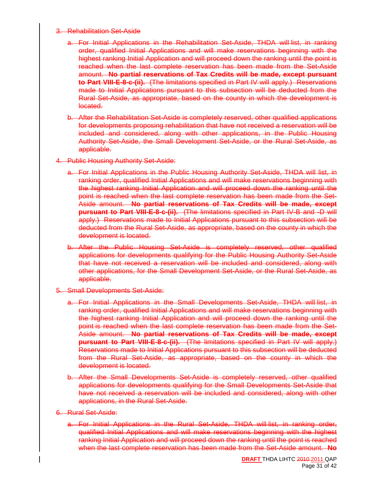#### 3. Rehabilitation Set-Aside

- a. For Initial Applications in the Rehabilitation Set-Aside, THDA will list, in ranking order, qualified Initial Applications and will make reservations beginning with the highest ranking Initial Application and will proceed down the ranking until the point is reached when the last complete reservation has been made from the Set-Aside amount. **No partial reservations of Tax Credits will be made, except pursuant to Part VIII-E-8-c-(ii).** (The limitations specified in Part IV will apply.) Reservations made to Initial Applications pursuant to this subsection will be deducted from the Rural Set-Aside, as appropriate, based on the county in which the development is located.
- b. After the Rehabilitation Set-Aside is completely reserved, other qualified applications for developments proposing rehabilitation that have not received a reservation will be included and considered, along with other applications, in the Public Housing Authority Set-Aside, the Small Development Set-Aside, or the Rural Set-Aside, as applicable.
- 4. Public Housing Authority Set-Aside:
	- a. For Initial Applications in the Public Housing Authority Set-Aside, THDA will list, in ranking order, qualified Initial Applications and will make reservations beginning with the highest ranking Initial Application and will proceed down the ranking until the point is reached when the last complete reservation has been made from the Set-Aside amount. **No partial reservations of Tax Credits will be made, except pursuant to Part VIII-E-8-c-(ii).** (The limitations specified in Part IV-B and -D will apply.) Reservations made to Initial Applications pursuant to this subsection will be deducted from the Rural Set-Aside, as appropriate, based on the county in which the development is located.
	- b. After the Public Housing Set-Aside is completely reserved, other qualified applications for developments qualifying for the Public Housing Authority Set-Aside that have not received a reservation will be included and considered, along with other applications, for the Small Development Set-Aside, or the Rural Set-Aside, as applicable.
- 5. Small Developments Set-Aside:
	- a. For Initial Applications in the Small Developments Set-Aside, THDA will list, in ranking order, qualified Initial Applications and will make reservations beginning with the highest ranking Initial Application and will proceed down the ranking until the point is reached when the last complete reservation has been made from the Set-Aside amount. **No partial reservations of Tax Credits will be made, except pursuant to Part VIII-E-8-c-(ii).** (The limitations specified in Part IV will apply.) Reservations made to Initial Applications pursuant to this subsection will be deducted from the Rural Set-Aside, as appropriate, based on the county in which the development is located.
	- b. After the Small Developments Set-Aside is completely reserved, other qualified applications for developments qualifying for the Small Developments Set-Aside that have not received a reservation will be included and considered, along with other applications, in the Rural Set-Aside.
- 6. Rural Set-Aside:
	- a. For Initial Applications in the Rural Set-Aside, THDA will list, in ranking order, qualified Initial Applications and will make reservations beginning with the highest ranking Initial Application and will proceed down the ranking until the point is reached when the last complete reservation has been made from the Set-Aside amount. **No**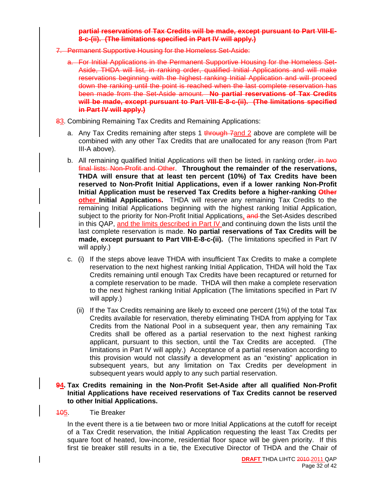#### **partial reservations of Tax Credits will be made, except pursuant to Part VIII-E-8-c-(ii). (The limitations specified in Part IV will apply.)**

- 7. Permanent Supportive Housing for the Homeless Set-Aside:
	- a. For Initial Applications in the Permanent Supportive Housing for the Homeless Set-Aside, THDA will list, in ranking order, qualified Initial Applications and will make reservations beginning with the highest ranking Initial Application and will proceed down the ranking until the point is reached when the last complete reservation has been made from the Set-Aside amount. **No partial reservations of Tax Credits will be made, except pursuant to Part VIII-E-8-c-(ii). (The limitations specified in Part IV will apply.)**
- 83. Combining Remaining Tax Credits and Remaining Applications:
	- a. Any Tax Credits remaining after steps 1 through 7 and 2 above are complete will be combined with any other Tax Credits that are unallocated for any reason (from Part III-A above).
	- b. All remaining qualified Initial Applications will then be listed, in ranking order, in two final lists: Non-Profit and Other. **Throughout the remainder of the reservations, THDA will ensure that at least ten percent (10%) of Tax Credits have been reserved to Non-Profit Initial Applications, even if a lower ranking Non-Profit Initial Application must be reserved Tax Credits before a higher-ranking Other other Initial Applications.** THDA will reserve any remaining Tax Credits to the remaining Initial Applications beginning with the highest ranking Initial Application, subject to the priority for Non-Profit Initial Applications, and the Set-Asides described in this QAP, and the limits described in Part IV and continuing down the lists until the last complete reservation is made. **No partial reservations of Tax Credits will be made, except pursuant to Part VIII-E-8-c-(ii).** (The limitations specified in Part IV will apply.)
	- c. (i) If the steps above leave THDA with insufficient Tax Credits to make a complete reservation to the next highest ranking Initial Application, THDA will hold the Tax Credits remaining until enough Tax Credits have been recaptured or returned for a complete reservation to be made. THDA will then make a complete reservation to the next highest ranking Initial Application (The limitations specified in Part IV will apply.)
		- (ii) If the Tax Credits remaining are likely to exceed one percent (1%) of the total Tax Credits available for reservation, thereby eliminating THDA from applying for Tax Credits from the National Pool in a subsequent year, then any remaining Tax Credits shall be offered as a partial reservation to the next highest ranking applicant, pursuant to this section, until the Tax Credits are accepted. (The limitations in Part IV will apply.) Acceptance of a partial reservation according to this provision would not classify a development as an "existing" application in subsequent years, but any limitation on Tax Credits per development in subsequent years would apply to any such partial reservation.

#### **94. Tax Credits remaining in the Non-Profit Set-Aside after all qualified Non-Profit Initial Applications have received reservations of Tax Credits cannot be reserved to other Initial Applications.**

#### 105. Tie Breaker

In the event there is a tie between two or more Initial Applications at the cutoff for receipt of a Tax Credit reservation, the Initial Application requesting the least Tax Credits per square foot of heated, low-income, residential floor space will be given priority. If this first tie breaker still results in a tie, the Executive Director of THDA and the Chair of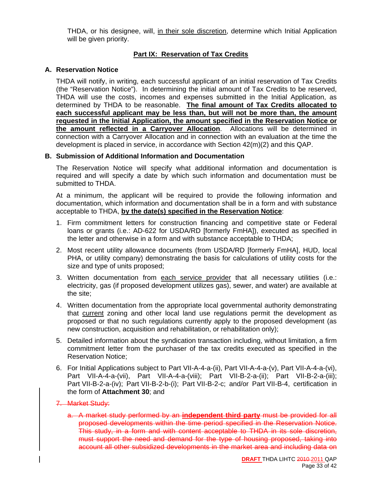THDA, or his designee, will, in their sole discretion, determine which Initial Application will be given priority.

#### **Part IX: Reservation of Tax Credits**

#### **A. Reservation Notice**

THDA will notify, in writing, each successful applicant of an initial reservation of Tax Credits (the "Reservation Notice"). In determining the initial amount of Tax Credits to be reserved, THDA will use the costs, incomes and expenses submitted in the Initial Application, as determined by THDA to be reasonable. **The final amount of Tax Credits allocated to each successful applicant may be less than, but will not be more than, the amount requested in the Initial Application, the amount specified in the Reservation Notice or the amount reflected in a Carryover Allocation**. Allocations will be determined in connection with a Carryover Allocation and in connection with an evaluation at the time the development is placed in service, in accordance with Section 42(m)(2) and this QAP.

#### **B. Submission of Additional Information and Documentation**

The Reservation Notice will specify what additional information and documentation is required and will specify a date by which such information and documentation must be submitted to THDA.

At a minimum, the applicant will be required to provide the following information and documentation, which information and documentation shall be in a form and with substance acceptable to THDA, **by the date(s) specified in the Reservation Notice**:

- 1. Firm commitment letters for construction financing and competitive state or Federal loans or grants (i.e.: AD-622 for USDA/RD [formerly FmHA]), executed as specified in the letter and otherwise in a form and with substance acceptable to THDA;
- 2. Most recent utility allowance documents (from USDA/RD [formerly FmHA], HUD, local PHA, or utility company) demonstrating the basis for calculations of utility costs for the size and type of units proposed;
- 3. Written documentation from each service provider that all necessary utilities (i.e.: electricity, gas (if proposed development utilizes gas), sewer, and water) are available at the site;
- 4. Written documentation from the appropriate local governmental authority demonstrating that current zoning and other local land use regulations permit the development as proposed or that no such regulations currently apply to the proposed development (as new construction, acquisition and rehabilitation, or rehabilitation only);
- 5. Detailed information about the syndication transaction including, without limitation, a firm commitment letter from the purchaser of the tax credits executed as specified in the Reservation Notice;
- 6. For Initial Applications subject to Part VII-A-4-a-(ii), Part VII-A-4-a-(v), Part VII-A-4-a-(vi), Part VII-A-4-a-(vii), Part VII-A-4-a-(viii); Part VII-B-2-a-(ii); Part VII-B-2-a-(iii); Part VII-B-2-a-(iv); Part VII-B-2-b-(i); Part VII-B-2-c; and/or Part VII-B-4, certification in the form of **Attachment 30**; and

#### 7. Market Study:

a. A market study performed by an **independent third party** must be provided for all proposed developments within the time period specified in the Reservation Notice. This study, in a form and with content acceptable to THDA in its sole discretion, must support the need and demand for the type of housing proposed, taking into account all other subsidized developments in the market area and including data on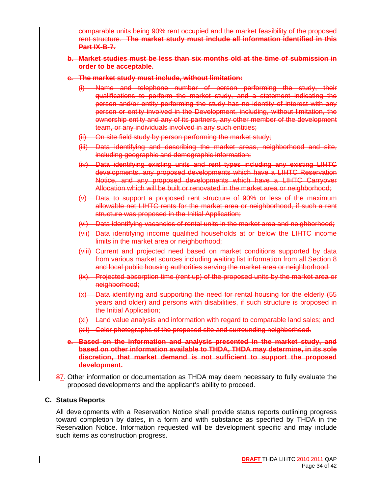comparable units being 90% rent occupied and the market feasibility of the proposed rent structure. **The market study must include all information identified in this Part IX-B-7.**

#### **b. Market studies must be less than six months old at the time of submission in order to be acceptable.**

#### **c. The market study must include, without limitation:**

- (i) Name and telephone number of person performing the study, their qualifications to perform the market study, and a statement indicating the person and/or entity performing the study has no identity of interest with any person or entity involved in the Development, including, without limitation, the ownership entity and any of its partners, any other member of the development team, or any individuals involved in any such entities;
- (ii) On site field study by person performing the market study;
- (iii) Data identifying and describing the market areas, neighborhood and site, including geographic and demographic information;
- (iv) Data identifying existing units and rent types including any existing LIHTC developments, any proposed developments which have a LIHTC Reservation Notice, and any proposed developments which have a LIHTC Carryover Allocation which will be built or renovated in the market area or neighborhood;
- (v) Data to support a proposed rent structure of 90% or less of the maximum allowable net LIHTC rents for the market area or neighborhood, if such a rent structure was proposed in the Initial Application;
- (vi) Data identifying vacancies of rental units in the market area and neighborhood;
- (vii) Data identifying income qualified households at or below the LIHTC income limits in the market area or neighborhood;
- (viii) Current and projected need based on market conditions supported by data from various market sources including waiting list information from all Section 8 and local public housing authorities serving the market area or neighborhood;
- (ix). Projected absorption time (rent up) of the proposed units by the market area or neighborhood;
- (x) Data identifying and supporting the need for rental housing for the elderly (55 years and older) and persons with disabilities, if such structure is proposed in the Initial Application;
- (xi) Land value analysis and information with regard to comparable land sales; and
- (xii) Color photographs of the proposed site and surrounding neighborhood.

#### **e. Based on the information and analysis presented in the market study, and based on other information available to THDA, THDA may determine, in its sole discretion, that market demand is not sufficient to support the proposed development.**

87. Other information or documentation as THDA may deem necessary to fully evaluate the proposed developments and the applicant's ability to proceed.

#### **C. Status Reports**

All developments with a Reservation Notice shall provide status reports outlining progress toward completion by dates, in a form and with substance as specified by THDA in the Reservation Notice. Information requested will be development specific and may include such items as construction progress.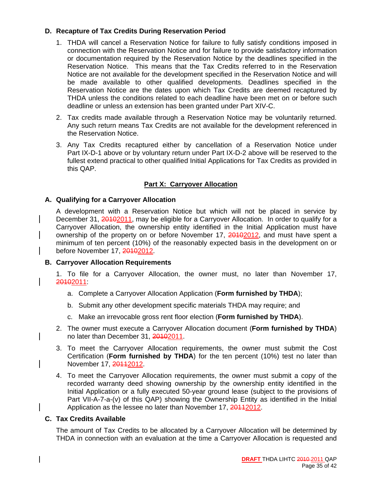#### **D. Recapture of Tax Credits During Reservation Period**

- 1. THDA will cancel a Reservation Notice for failure to fully satisfy conditions imposed in connection with the Reservation Notice and for failure to provide satisfactory information or documentation required by the Reservation Notice by the deadlines specified in the Reservation Notice. This means that the Tax Credits referred to in the Reservation Notice are not available for the development specified in the Reservation Notice and will be made available to other qualified developments. Deadlines specified in the Reservation Notice are the dates upon which Tax Credits are deemed recaptured by THDA unless the conditions related to each deadline have been met on or before such deadline or unless an extension has been granted under Part XIV-C.
- 2. Tax credits made available through a Reservation Notice may be voluntarily returned. Any such return means Tax Credits are not available for the development referenced in the Reservation Notice.
- 3. Any Tax Credits recaptured either by cancellation of a Reservation Notice under Part IX-D-1 above or by voluntary return under Part IX-D-2 above will be reserved to the fullest extend practical to other qualified Initial Applications for Tax Credits as provided in this QAP.

#### **Part X: Carryover Allocation**

#### **A. Qualifying for a Carryover Allocation**

A development with a Reservation Notice but which will not be placed in service by December 31, 20102011, may be eligible for a Carryover Allocation. In order to qualify for a Carryover Allocation, the ownership entity identified in the Initial Application must have ownership of the property on or before November 17, 20102012, and must have spent a minimum of ten percent (10%) of the reasonably expected basis in the development on or before November 17, 20102012.

#### **B. Carryover Allocation Requirements**

1. To file for a Carryover Allocation, the owner must, no later than November 17, 20102011:

- a. Complete a Carryover Allocation Application (**Form furnished by THDA**);
- b. Submit any other development specific materials THDA may require; and
- c. Make an irrevocable gross rent floor election (**Form furnished by THDA**).
- 2. The owner must execute a Carryover Allocation document (**Form furnished by THDA**) no later than December 31, 20102011.
- 3. To meet the Carryover Allocation requirements, the owner must submit the Cost Certification (**Form furnished by THDA**) for the ten percent (10%) test no later than November 17, 20112012.
- 4. To meet the Carryover Allocation requirements, the owner must submit a copy of the recorded warranty deed showing ownership by the ownership entity identified in the Initial Application or a fully executed 50-year ground lease (subject to the provisions of Part VII-A-7-a-(v) of this QAP) showing the Ownership Entity as identified in the Initial Application as the lessee no later than November 17, 20112012.

#### **C. Tax Credits Available**

The amount of Tax Credits to be allocated by a Carryover Allocation will be determined by THDA in connection with an evaluation at the time a Carryover Allocation is requested and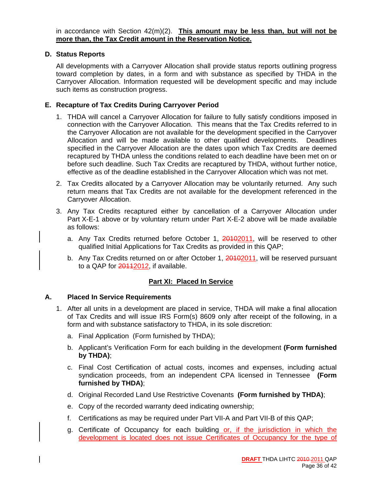#### **D. Status Reports**

All developments with a Carryover Allocation shall provide status reports outlining progress toward completion by dates, in a form and with substance as specified by THDA in the Carryover Allocation. Information requested will be development specific and may include such items as construction progress.

#### **E. Recapture of Tax Credits During Carryover Period**

- 1. THDA will cancel a Carryover Allocation for failure to fully satisfy conditions imposed in connection with the Carryover Allocation. This means that the Tax Credits referred to in the Carryover Allocation are not available for the development specified in the Carryover Allocation and will be made available to other qualified developments. Deadlines specified in the Carryover Allocation are the dates upon which Tax Credits are deemed recaptured by THDA unless the conditions related to each deadline have been met on or before such deadline. Such Tax Credits are recaptured by THDA, without further notice, effective as of the deadline established in the Carryover Allocation which was not met.
- 2. Tax Credits allocated by a Carryover Allocation may be voluntarily returned. Any such return means that Tax Credits are not available for the development referenced in the Carryover Allocation.
- 3. Any Tax Credits recaptured either by cancellation of a Carryover Allocation under Part X-E-1 above or by voluntary return under Part X-E-2 above will be made available as follows:
	- a. Any Tax Credits returned before October 1, 20102011, will be reserved to other qualified Initial Applications for Tax Credits as provided in this QAP;
	- b. Any Tax Credits returned on or after October 1, 20102011, will be reserved pursuant to a QAP for 20112012, if available.

#### **Part XI: Placed In Service**

#### **A. Placed In Service Requirements**

- 1. After all units in a development are placed in service, THDA will make a final allocation of Tax Credits and will issue IRS Form(s) 8609 only after receipt of the following, in a form and with substance satisfactory to THDA, in its sole discretion:
	- a. Final Application (Form furnished by THDA);
	- b. Applicant's Verification Form for each building in the development **(Form furnished by THDA)**;
	- c. Final Cost Certification of actual costs, incomes and expenses, including actual syndication proceeds, from an independent CPA licensed in Tennessee **(Form furnished by THDA)**;
	- d. Original Recorded Land Use Restrictive Covenants **(Form furnished by THDA)**;
	- e. Copy of the recorded warranty deed indicating ownership;
	- f. Certifications as may be required under Part VII-A and Part VII-B of this QAP;
	- g. Certificate of Occupancy for each building or, if the jurisdiction in which the development is located does not issue Certificates of Occupancy for the type of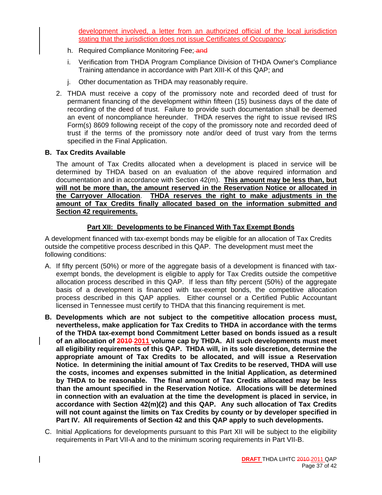development involved, a letter from an authorized official of the local jurisdiction stating that the jurisdiction does not issue Certificates of Occupancy;

- h. Required Compliance Monitoring Fee; and
- i. Verification from THDA Program Compliance Division of THDA Owner's Compliance Training attendance in accordance with Part XIII-K of this QAP; and
- j. Other documentation as THDA may reasonably require.
- 2. THDA must receive a copy of the promissory note and recorded deed of trust for permanent financing of the development within fifteen (15) business days of the date of recording of the deed of trust. Failure to provide such documentation shall be deemed an event of noncompliance hereunder. THDA reserves the right to issue revised IRS Form(s) 8609 following receipt of the copy of the promissory note and recorded deed of trust if the terms of the promissory note and/or deed of trust vary from the terms specified in the Final Application.

#### **B. Tax Credits Available**

The amount of Tax Credits allocated when a development is placed in service will be determined by THDA based on an evaluation of the above required information and documentation and in accordance with Section 42(m). **This amount may be less than, but will not be more than, the amount reserved in the Reservation Notice or allocated in the Carryover Allocation**. **THDA reserves the right to make adjustments in the amount of Tax Credits finally allocated based on the information submitted and Section 42 requirements.**

#### **Part XII: Developments to be Financed With Tax Exempt Bonds**

A development financed with tax-exempt bonds may be eligible for an allocation of Tax Credits outside the competitive process described in this QAP. The development must meet the following conditions:

- A. If fifty percent (50%) or more of the aggregate basis of a development is financed with taxexempt bonds, the development is eligible to apply for Tax Credits outside the competitive allocation process described in this QAP. If less than fifty percent (50%) of the aggregate basis of a development is financed with tax-exempt bonds, the competitive allocation process described in this QAP applies. Either counsel or a Certified Public Accountant licensed in Tennessee must certify to THDA that this financing requirement is met.
- **B. Developments which are not subject to the competitive allocation process must, nevertheless, make application for Tax Credits to THDA in accordance with the terms of the THDA tax-exempt bond Commitment Letter based on bonds issued as a result of an allocation of 2010 2011 volume cap by THDA. All such developments must meet all eligibility requirements of this QAP. THDA will, in its sole discretion, determine the appropriate amount of Tax Credits to be allocated, and will issue a Reservation Notice. In determining the initial amount of Tax Credits to be reserved, THDA will use the costs, incomes and expenses submitted in the Initial Application, as determined by THDA to be reasonable. The final amount of Tax Credits allocated may be less than the amount specified in the Reservation Notice. Allocations will be determined in connection with an evaluation at the time the development is placed in service, in accordance with Section 42(m)(2) and this QAP. Any such allocation of Tax Credits will not count against the limits on Tax Credits by county or by developer specified in Part IV. All requirements of Section 42 and this QAP apply to such developments.**
- C. Initial Applications for developments pursuant to this Part XII will be subject to the eligibility requirements in Part VII-A and to the minimum scoring requirements in Part VII-B.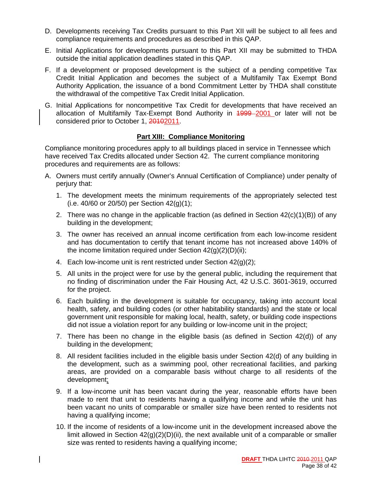- D. Developments receiving Tax Credits pursuant to this Part XII will be subject to all fees and compliance requirements and procedures as described in this QAP.
- E. Initial Applications for developments pursuant to this Part XII may be submitted to THDA outside the initial application deadlines stated in this QAP.
- F. If a development or proposed development is the subject of a pending competitive Tax Credit Initial Application and becomes the subject of a Multifamily Tax Exempt Bond Authority Application, the issuance of a bond Commitment Letter by THDA shall constitute the withdrawal of the competitive Tax Credit Initial Application.
- G. Initial Applications for noncompetitive Tax Credit for developments that have received an allocation of Multifamily Tax-Exempt Bond Authority in 4999-2001 or later will not be considered prior to October 1, 20102011.

#### **Part XIII: Compliance Monitoring**

Compliance monitoring procedures apply to all buildings placed in service in Tennessee which have received Tax Credits allocated under Section 42. The current compliance monitoring procedures and requirements are as follows:

- A. Owners must certify annually (Owner's Annual Certification of Compliance) under penalty of perjury that:
	- 1. The development meets the minimum requirements of the appropriately selected test (i.e. 40/60 or 20/50) per Section 42(g)(1);
	- 2. There was no change in the applicable fraction (as defined in Section  $42(c)(1)(B)$ ) of any building in the development;
	- 3. The owner has received an annual income certification from each low-income resident and has documentation to certify that tenant income has not increased above 140% of the income limitation required under Section  $42(q)(2)(D)(ii)$ ;
	- 4. Each low-income unit is rent restricted under Section 42(g)(2);
	- 5. All units in the project were for use by the general public, including the requirement that no finding of discrimination under the Fair Housing Act, 42 U.S.C. 3601-3619, occurred for the project.
	- 6. Each building in the development is suitable for occupancy, taking into account local health, safety, and building codes (or other habitability standards) and the state or local government unit responsible for making local, health, safety, or building code inspections did not issue a violation report for any building or low-income unit in the project;
	- 7. There has been no change in the eligible basis (as defined in Section 42(d)) of any building in the development;
	- 8. All resident facilities included in the eligible basis under Section 42(d) of any building in the development, such as a swimming pool, other recreational facilities, and parking areas, are provided on a comparable basis without charge to all residents of the development;
	- 9. If a low-income unit has been vacant during the year, reasonable efforts have been made to rent that unit to residents having a qualifying income and while the unit has been vacant no units of comparable or smaller size have been rented to residents not having a qualifying income;
	- 10. If the income of residents of a low-income unit in the development increased above the limit allowed in Section  $42(q)(2)(D)(ii)$ , the next available unit of a comparable or smaller size was rented to residents having a qualifying income;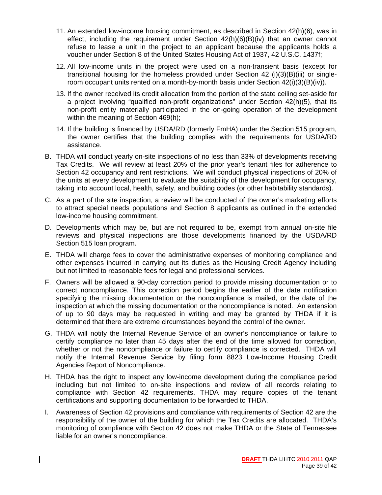- 11. An extended low-income housing commitment, as described in Section 42(h)(6), was in effect, including the requirement under Section  $42(h)(6)(B)(iv)$  that an owner cannot refuse to lease a unit in the project to an applicant because the applicants holds a voucher under Section 8 of the United States Housing Act of 1937, 42 U.S.C. 1437f;
- 12. All low-income units in the project were used on a non-transient basis (except for transitional housing for the homeless provided under Section 42 (i)(3)(B)(iii) or singleroom occupant units rented on a month-by-month basis under Section 42(i)(3)(B)(iv)).
- 13. If the owner received its credit allocation from the portion of the state ceiling set-aside for a project involving "qualified non-profit organizations" under Section 42(h)(5), that its non-profit entity materially participated in the on-going operation of the development within the meaning of Section 469(h);
- 14. If the building is financed by USDA/RD (formerly FmHA) under the Section 515 program, the owner certifies that the building complies with the requirements for USDA/RD assistance.
- B. THDA will conduct yearly on-site inspections of no less than 33% of developments receiving Tax Credits. We will review at least 20% of the prior year's tenant files for adherence to Section 42 occupancy and rent restrictions. We will conduct physical inspections of 20% of the units at every development to evaluate the suitability of the development for occupancy, taking into account local, health, safety, and building codes (or other habitability standards).
- C. As a part of the site inspection, a review will be conducted of the owner's marketing efforts to attract special needs populations and Section 8 applicants as outlined in the extended low-income housing commitment.
- D. Developments which may be, but are not required to be, exempt from annual on-site file reviews and physical inspections are those developments financed by the USDA/RD Section 515 loan program.
- E. THDA will charge fees to cover the administrative expenses of monitoring compliance and other expenses incurred in carrying out its duties as the Housing Credit Agency including but not limited to reasonable fees for legal and professional services.
- F. Owners will be allowed a 90-day correction period to provide missing documentation or to correct noncompliance. This correction period begins the earlier of the date notification specifying the missing documentation or the noncompliance is mailed, or the date of the inspection at which the missing documentation or the noncompliance is noted. An extension of up to 90 days may be requested in writing and may be granted by THDA if it is determined that there are extreme circumstances beyond the control of the owner.
- G. THDA will notify the Internal Revenue Service of an owner's noncompliance or failure to certify compliance no later than 45 days after the end of the time allowed for correction, whether or not the noncompliance or failure to certify compliance is corrected. THDA will notify the Internal Revenue Service by filing form 8823 Low-Income Housing Credit Agencies Report of Noncompliance.
- H. THDA has the right to inspect any low-income development during the compliance period including but not limited to on-site inspections and review of all records relating to compliance with Section 42 requirements. THDA may require copies of the tenant certifications and supporting documentation to be forwarded to THDA.
- I. Awareness of Section 42 provisions and compliance with requirements of Section 42 are the responsibility of the owner of the building for which the Tax Credits are allocated. THDA's monitoring of compliance with Section 42 does not make THDA or the State of Tennessee liable for an owner's noncompliance.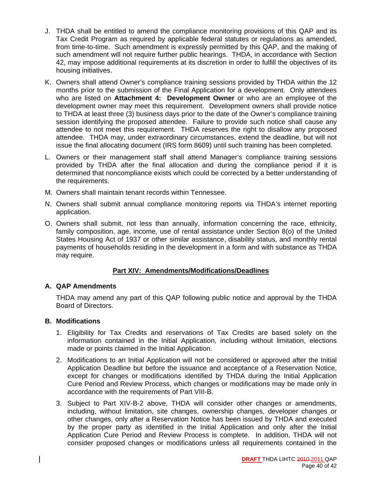- J. THDA shall be entitled to amend the compliance monitoring provisions of this QAP and its Tax Credit Program as required by applicable federal statutes or regulations as amended, from time-to-time. Such amendment is expressly permitted by this QAP, and the making of such amendment will not require further public hearings. THDA, in accordance with Section 42, may impose additional requirements at its discretion in order to fulfill the objectives of its housing initiatives.
- K. Owners shall attend Owner's compliance training sessions provided by THDA within the 12 months prior to the submission of the Final Application for a development. Only attendees who are listed on **Attachment 4: Development Owner** or who are an employee of the development owner may meet this requirement. Development owners shall provide notice to THDA at least three (3) business days prior to the date of the Owner's compliance training session identifying the proposed attendee. Failure to provide such notice shall cause any attendee to not meet this requirement. THDA reserves the right to disallow any proposed attendee. THDA may, under extraordinary circumstances, extend the deadline, but will not issue the final allocating document (IRS form 8609) until such training has been completed.
- L. Owners or their management staff shall attend Manager's compliance training sessions provided by THDA after the final allocation and during the compliance period if it is determined that noncompliance exists which could be corrected by a better understanding of the requirements.
- M. Owners shall maintain tenant records within Tennessee.
- N. Owners shall submit annual compliance monitoring reports via THDA's internet reporting application.
- O. Owners shall submit, not less than annually, information concerning the race, ethnicity, family composition, age, income, use of rental assistance under Section 8(o) of the United States Housing Act of 1937 or other similar assistance, disability status, and monthly rental payments of households residing in the development in a form and with substance as THDA may require.

#### **Part XIV: Amendments/Modifications/Deadlines**

#### **A. QAP Amendments**

THDA may amend any part of this QAP following public notice and approval by the THDA Board of Directors.

#### **B. Modifications**

- 1. Eligibility for Tax Credits and reservations of Tax Credits are based solely on the information contained in the Initial Application, including without limitation, elections made or points claimed in the Initial Application.
- 2. Modifications to an Initial Application will not be considered or approved after the Initial Application Deadline but before the issuance and acceptance of a Reservation Notice, except for changes or modifications identified by THDA during the Initial Application Cure Period and Review Process, which changes or modifications may be made only in accordance with the requirements of Part VIII-B.
- 3. Subject to Part XIV-B-2 above, THDA will consider other changes or amendments, including, without limitation, site changes, ownership changes, developer changes or other changes, only after a Reservation Notice has been issued by THDA and executed by the proper party as identified in the Initial Application and only after the Initial Application Cure Period and Review Process is complete. In addition, THDA will not consider proposed changes or modifications unless all requirements contained in the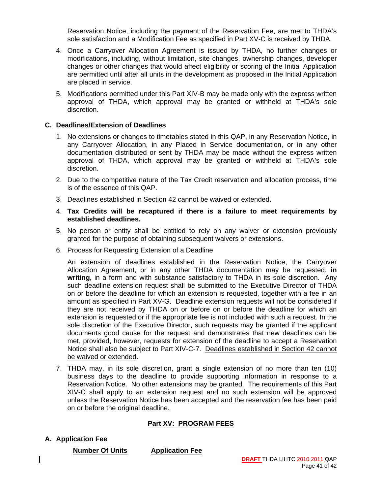Reservation Notice, including the payment of the Reservation Fee, are met to THDA's sole satisfaction and a Modification Fee as specified in Part XV-C is received by THDA.

- 4. Once a Carryover Allocation Agreement is issued by THDA, no further changes or modifications, including, without limitation, site changes, ownership changes, developer changes or other changes that would affect eligibility or scoring of the Initial Application are permitted until after all units in the development as proposed in the Initial Application are placed in service.
- 5. Modifications permitted under this Part XIV-B may be made only with the express written approval of THDA, which approval may be granted or withheld at THDA's sole discretion.

#### **C. Deadlines/Extension of Deadlines**

- 1. No extensions or changes to timetables stated in this QAP, in any Reservation Notice, in any Carryover Allocation, in any Placed in Service documentation, or in any other documentation distributed or sent by THDA may be made without the express written approval of THDA, which approval may be granted or withheld at THDA's sole discretion.
- 2. Due to the competitive nature of the Tax Credit reservation and allocation process, time is of the essence of this QAP.
- 3. Deadlines established in Section 42 cannot be waived or extended**.**
- 4. **Tax Credits will be recaptured if there is a failure to meet requirements by established deadlines.**
- 5. No person or entity shall be entitled to rely on any waiver or extension previously granted for the purpose of obtaining subsequent waivers or extensions.
- 6. Process for Requesting Extension of a Deadline

 An extension of deadlines established in the Reservation Notice, the Carryover Allocation Agreement, or in any other THDA documentation may be requested, **in writing,** in a form and with substance satisfactory to THDA in its sole discretion. Any such deadline extension request shall be submitted to the Executive Director of THDA on or before the deadline for which an extension is requested, together with a fee in an amount as specified in Part XV-G. Deadline extension requests will not be considered if they are not received by THDA on or before on or before the deadline for which an extension is requested or if the appropriate fee is not included with such a request. In the sole discretion of the Executive Director, such requests may be granted if the applicant documents good cause for the request and demonstrates that new deadlines can be met, provided, however, requests for extension of the deadline to accept a Reservation Notice shall also be subject to Part XIV-C-7. Deadlines established in Section 42 cannot be waived or extended.

7. THDA may, in its sole discretion, grant a single extension of no more than ten (10) business days to the deadline to provide supporting information in response to a Reservation Notice. No other extensions may be granted. The requirements of this Part XIV-C shall apply to an extension request and no such extension will be approved unless the Reservation Notice has been accepted and the reservation fee has been paid on or before the original deadline.

#### **Part XV: PROGRAM FEES**

#### **A. Application Fee**

**Number Of Units Application Fee**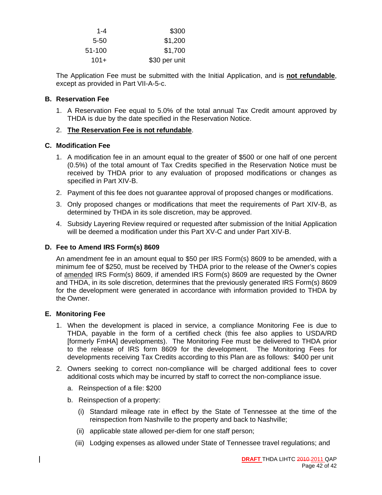| \$300         | $1 - 4$ |
|---------------|---------|
| \$1,200       | 5-50    |
| \$1,700       | 51-100  |
| \$30 per unit | $101+$  |

The Application Fee must be submitted with the Initial Application, and is **not refundable**, except as provided in Part VII-A-5-c.

#### **B. Reservation Fee**

1. A Reservation Fee equal to 5.0% of the total annual Tax Credit amount approved by THDA is due by the date specified in the Reservation Notice.

#### 2. **The Reservation Fee is not refundable**.

#### **C. Modification Fee**

- 1. A modification fee in an amount equal to the greater of \$500 or one half of one percent (0.5%) of the total amount of Tax Credits specified in the Reservation Notice must be received by THDA prior to any evaluation of proposed modifications or changes as specified in Part XIV-B.
- 2. Payment of this fee does not guarantee approval of proposed changes or modifications.
- 3. Only proposed changes or modifications that meet the requirements of Part XIV-B, as determined by THDA in its sole discretion, may be approved.
- 4. Subsidy Layering Review required or requested after submission of the Initial Application will be deemed a modification under this Part XV-C and under Part XIV-B.

#### **D. Fee to Amend IRS Form(s) 8609**

An amendment fee in an amount equal to \$50 per IRS Form(s) 8609 to be amended, with a minimum fee of \$250, must be received by THDA prior to the release of the Owner's copies of amended IRS Form(s) 8609, if amended IRS Form(s) 8609 are requested by the Owner and THDA, in its sole discretion, determines that the previously generated IRS Form(s) 8609 for the development were generated in accordance with information provided to THDA by the Owner.

#### **E. Monitoring Fee**

- 1. When the development is placed in service, a compliance Monitoring Fee is due to THDA, payable in the form of a certified check (this fee also applies to USDA/RD [formerly FmHA] developments). The Monitoring Fee must be delivered to THDA prior to the release of IRS form 8609 for the development. The Monitoring Fees for developments receiving Tax Credits according to this Plan are as follows: \$400 per unit
- 2. Owners seeking to correct non-compliance will be charged additional fees to cover additional costs which may be incurred by staff to correct the non-compliance issue.
	- a. Reinspection of a file: \$200
	- b. Reinspection of a property:
		- (i) Standard mileage rate in effect by the State of Tennessee at the time of the reinspection from Nashville to the property and back to Nashville;
		- (ii) applicable state allowed per-diem for one staff person;
		- (iii) Lodging expenses as allowed under State of Tennessee travel regulations; and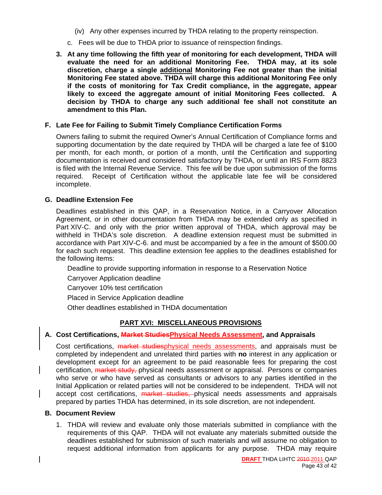- (iv) Any other expenses incurred by THDA relating to the property reinspection.
- c. Fees will be due to THDA prior to issuance of reinspection findings.
- **3. At any time following the fifth year of monitoring for each development, THDA will evaluate the need for an additional Monitoring Fee. THDA may, at its sole discretion, charge a single additional Monitoring Fee not greater than the initial Monitoring Fee stated above. THDA will charge this additional Monitoring Fee only if the costs of monitoring for Tax Credit compliance, in the aggregate, appear likely to exceed the aggregate amount of initial Monitoring Fees collected. A decision by THDA to charge any such additional fee shall not constitute an amendment to this Plan.**

#### **F. Late Fee for Failing to Submit Timely Compliance Certification Forms**

Owners failing to submit the required Owner's Annual Certification of Compliance forms and supporting documentation by the date required by THDA will be charged a late fee of \$100 per month, for each month, or portion of a month, until the Certification and supporting documentation is received and considered satisfactory by THDA, or until an IRS Form 8823 is filed with the Internal Revenue Service. This fee will be due upon submission of the forms required. Receipt of Certification without the applicable late fee will be considered incomplete.

#### **G. Deadline Extension Fee**

Deadlines established in this QAP, in a Reservation Notice, in a Carryover Allocation Agreement, or in other documentation from THDA may be extended only as specified in Part XIV-C. and only with the prior written approval of THDA, which approval may be withheld in THDA's sole discretion. A deadline extension request must be submitted in accordance with Part XIV-C-6. and must be accompanied by a fee in the amount of \$500.00 for each such request. This deadline extension fee applies to the deadlines established for the following items:

Deadline to provide supporting information in response to a Reservation Notice

Carryover Application deadline

Carryover 10% test certification

Placed in Service Application deadline

Other deadlines established in THDA documentation

#### **PART XVI: MISCELLANEOUS PROVISIONS**

#### **A. Cost Certifications, Market StudiesPhysical Needs Assessment, and Appraisals**

Cost certifications, market studiesphysical needs assessments, and appraisals must be completed by independent and unrelated third parties with **no** interest in any application or development except for an agreement to be paid reasonable fees for preparing the cost certification, market study, physical needs assessment or appraisal. Persons or companies who serve or who have served as consultants or advisors to any parties identified in the Initial Application or related parties will not be considered to be independent. THDA will not accept cost certifications, market studies, physical needs assessments and appraisals prepared by parties THDA has determined, in its sole discretion, are not independent.

#### **B. Document Review**

1. THDA will review and evaluate only those materials submitted in compliance with the requirements of this QAP. THDA will not evaluate any materials submitted outside the deadlines established for submission of such materials and will assume no obligation to request additional information from applicants for any purpose. THDA may require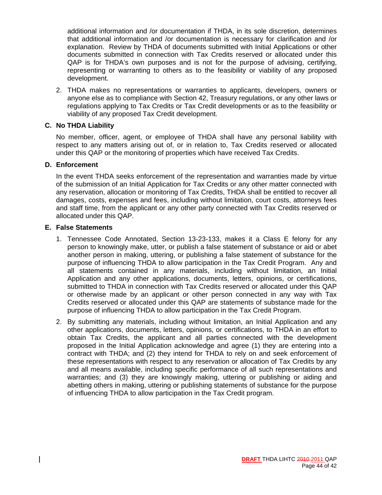additional information and /or documentation if THDA, in its sole discretion, determines that additional information and /or documentation is necessary for clarification and /or explanation. Review by THDA of documents submitted with Initial Applications or other documents submitted in connection with Tax Credits reserved or allocated under this QAP is for THDA's own purposes and is not for the purpose of advising, certifying, representing or warranting to others as to the feasibility or viability of any proposed development.

2. THDA makes no representations or warranties to applicants, developers, owners or anyone else as to compliance with Section 42, Treasury regulations, or any other laws or regulations applying to Tax Credits or Tax Credit developments or as to the feasibility or viability of any proposed Tax Credit development.

#### **C. No THDA Liability**

No member, officer, agent, or employee of THDA shall have any personal liability with respect to any matters arising out of, or in relation to, Tax Credits reserved or allocated under this QAP or the monitoring of properties which have received Tax Credits.

#### **D. Enforcement**

In the event THDA seeks enforcement of the representation and warranties made by virtue of the submission of an Initial Application for Tax Credits or any other matter connected with any reservation, allocation or monitoring of Tax Credits, THDA shall be entitled to recover all damages, costs, expenses and fees, including without limitation, court costs, attorneys fees and staff time, from the applicant or any other party connected with Tax Credits reserved or allocated under this QAP.

#### **E. False Statements**

- 1. Tennessee Code Annotated, Section 13-23-133, makes it a Class E felony for any person to knowingly make, utter, or publish a false statement of substance or aid or abet another person in making, uttering, or publishing a false statement of substance for the purpose of influencing THDA to allow participation in the Tax Credit Program. Any and all statements contained in any materials, including without limitation, an Initial Application and any other applications, documents, letters, opinions, or certifications, submitted to THDA in connection with Tax Credits reserved or allocated under this QAP or otherwise made by an applicant or other person connected in any way with Tax Credits reserved or allocated under this QAP are statements of substance made for the purpose of influencing THDA to allow participation in the Tax Credit Program.
- 2. By submitting any materials, including without limitation, an Initial Application and any other applications, documents, letters, opinions, or certifications, to THDA in an effort to obtain Tax Credits, the applicant and all parties connected with the development proposed in the Initial Application acknowledge and agree (1) they are entering into a contract with THDA; and (2) they intend for THDA to rely on and seek enforcement of these representations with respect to any reservation or allocation of Tax Credits by any and all means available, including specific performance of all such representations and warranties; and (3) they are knowingly making, uttering or publishing or aiding and abetting others in making, uttering or publishing statements of substance for the purpose of influencing THDA to allow participation in the Tax Credit program.